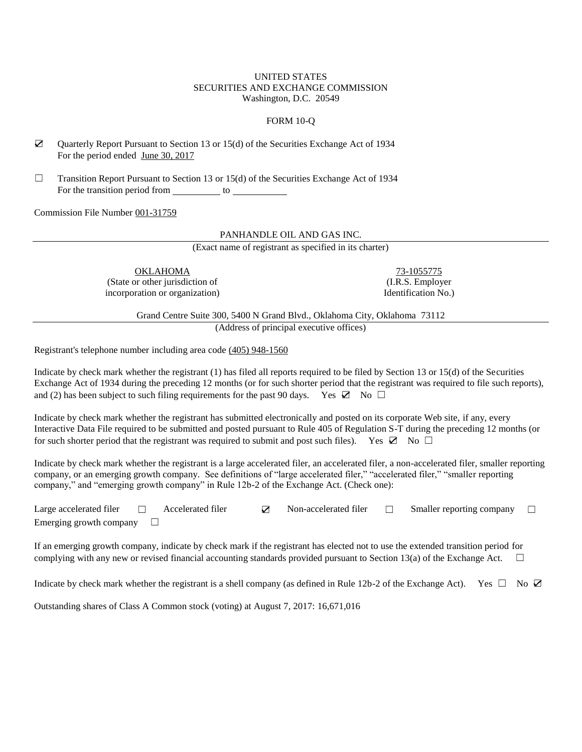## UNITED STATES SECURITIES AND EXCHANGE COMMISSION Washington, D.C. 20549

## FORM 10-Q

- ☑ Quarterly Report Pursuant to Section 13 or 15(d) of the Securities Exchange Act of 1934 For the period ended June 30, 2017
- $\Box$  Transition Report Pursuant to Section 13 or 15(d) of the Securities Exchange Act of 1934 For the transition period from \_\_\_\_\_\_\_\_\_\_ to \_\_\_\_\_\_

Commission File Number 001-31759

## PANHANDLE OIL AND GAS INC.

(Exact name of registrant as specified in its charter)

OKLAHOMA 73-1055775 (State or other jurisdiction of incorporation or organization)

(I.R.S. Employer Identification No.)

Grand Centre Suite 300, 5400 N Grand Blvd., Oklahoma City, Oklahoma 73112 (Address of principal executive offices)

Registrant's telephone number including area code (405) 948-1560

Indicate by check mark whether the registrant (1) has filed all reports required to be filed by Section 13 or 15(d) of the Securities Exchange Act of 1934 during the preceding 12 months (or for such shorter period that the registrant was required to file such reports), and (2) has been subject to such filing requirements for the past 90 days. Yes  $\boxtimes$  No  $\Box$ 

Indicate by check mark whether the registrant has submitted electronically and posted on its corporate Web site, if any, every Interactive Data File required to be submitted and posted pursuant to Rule 405 of Regulation S-T during the preceding 12 months (or for such shorter period that the registrant was required to submit and post such files). Yes  $\boxtimes$  No  $\Box$ 

Indicate by check mark whether the registrant is a large accelerated filer, an accelerated filer, a non-accelerated filer, smaller reporting company, or an emerging growth company. See definitions of "large accelerated filer," "accelerated filer," "smaller reporting company," and "emerging growth company" in Rule 12b-2 of the Exchange Act. (Check one):

| Large accelerated filer $\Box$ | Accelerated filer | Non-accelerated filer | Smaller reporting company $\square$ |  |
|--------------------------------|-------------------|-----------------------|-------------------------------------|--|
| Emerging growth company        |                   |                       |                                     |  |

If an emerging growth company, indicate by check mark if the registrant has elected not to use the extended transition period for complying with any new or revised financial accounting standards provided pursuant to Section 13(a) of the Exchange Act.  $\Box$ 

Indicate by check mark whether the registrant is a shell company (as defined in Rule 12b-2 of the Exchange Act). Yes  $\Box$  No  $\Box$ 

Outstanding shares of Class A Common stock (voting) at August 7, 2017: 16,671,016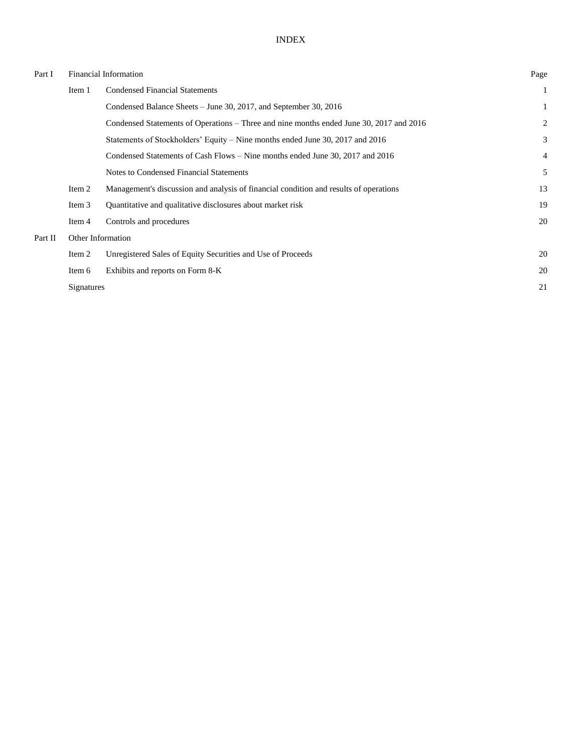# INDEX

| Part I  |                   | Financial Information                                                                   | Page           |
|---------|-------------------|-----------------------------------------------------------------------------------------|----------------|
|         | Item 1            | <b>Condensed Financial Statements</b>                                                   | 1              |
|         |                   | Condensed Balance Sheets – June 30, 2017, and September 30, 2016                        | 1              |
|         |                   | Condensed Statements of Operations – Three and nine months ended June 30, 2017 and 2016 | 2              |
|         |                   | Statements of Stockholders' Equity – Nine months ended June 30, 2017 and 2016           | 3              |
|         |                   | Condensed Statements of Cash Flows – Nine months ended June 30, 2017 and 2016           | $\overline{4}$ |
|         |                   | Notes to Condensed Financial Statements                                                 | 5              |
|         | Item 2            | Management's discussion and analysis of financial condition and results of operations   | 13             |
|         | Item 3            | Quantitative and qualitative disclosures about market risk                              | 19             |
|         | Item 4            | Controls and procedures                                                                 | 20             |
| Part II | Other Information |                                                                                         |                |
|         | Item 2            | Unregistered Sales of Equity Securities and Use of Proceeds                             | 20             |
|         | Item 6            | Exhibits and reports on Form 8-K                                                        | 20             |
|         | Signatures        |                                                                                         | 21             |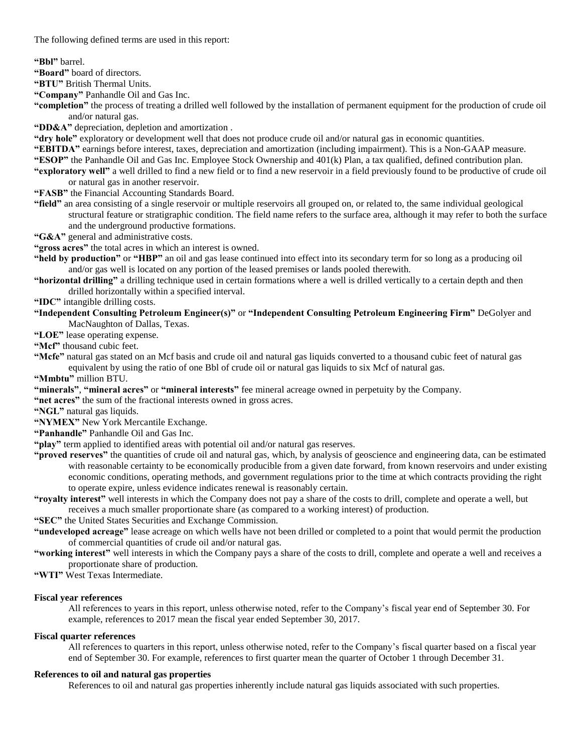The following defined terms are used in this report:

**"Bbl"** barrel.

**"Board"** board of directors.

**"BTU"** British Thermal Units.

**"Company"** Panhandle Oil and Gas Inc.

**"completion"** the process of treating a drilled well followed by the installation of permanent equipment for the production of crude oil and/or natural gas.

**"DD&A"** depreciation, depletion and amortization .

**"dry hole"** exploratory or development well that does not produce crude oil and/or natural gas in economic quantities.

**"EBITDA"** earnings before interest, taxes, depreciation and amortization (including impairment). This is a Non-GAAP measure. **"ESOP"** the Panhandle Oil and Gas Inc. Employee Stock Ownership and 401(k) Plan, a tax qualified, defined contribution plan.

**"exploratory well"** a well drilled to find a new field or to find a new reservoir in a field previously found to be productive of crude oil or natural gas in another reservoir.

**"FASB"** the Financial Accounting Standards Board.

**"field"** an area consisting of a single reservoir or multiple reservoirs all grouped on, or related to, the same individual geological structural feature or stratigraphic condition. The field name refers to the surface area, although it may refer to both the surface and the underground productive formations.

**"G&A"** general and administrative costs.

**"gross acres"** the total acres in which an interest is owned.

**"held by production"** or **"HBP"** an oil and gas lease continued into effect into its secondary term for so long as a producing oil and/or gas well is located on any portion of the leased premises or lands pooled therewith.

**"horizontal drilling"** a drilling technique used in certain formations where a well is drilled vertically to a certain depth and then drilled horizontally within a specified interval.

**"IDC"** intangible drilling costs.

**"Independent Consulting Petroleum Engineer(s)"** or **"Independent Consulting Petroleum Engineering Firm"** DeGolyer and MacNaughton of Dallas, Texas.

**"LOE"** lease operating expense.

**"Mcf"** thousand cubic feet.

**"Mcfe"** natural gas stated on an Mcf basis and crude oil and natural gas liquids converted to a thousand cubic feet of natural gas equivalent by using the ratio of one Bbl of crude oil or natural gas liquids to six Mcf of natural gas.

**"Mmbtu"** million BTU.

**"minerals"**, **"mineral acres"** or **"mineral interests"** fee mineral acreage owned in perpetuity by the Company.

**"net acres"** the sum of the fractional interests owned in gross acres.

**"NGL"** natural gas liquids.

**"NYMEX"** New York Mercantile Exchange.

**"Panhandle"** Panhandle Oil and Gas Inc.

**"play"** term applied to identified areas with potential oil and/or natural gas reserves.

**"proved reserves"** the quantities of crude oil and natural gas, which, by analysis of geoscience and engineering data, can be estimated with reasonable certainty to be economically producible from a given date forward, from known reservoirs and under existing economic conditions, operating methods, and government regulations prior to the time at which contracts providing the right to operate expire, unless evidence indicates renewal is reasonably certain.

**"royalty interest"** well interests in which the Company does not pay a share of the costs to drill, complete and operate a well, but receives a much smaller proportionate share (as compared to a working interest) of production.

**"SEC"** the United States Securities and Exchange Commission.

- **"undeveloped acreage"** lease acreage on which wells have not been drilled or completed to a point that would permit the production of commercial quantities of crude oil and/or natural gas.
- **"working interest"** well interests in which the Company pays a share of the costs to drill, complete and operate a well and receives a proportionate share of production.

**"WTI"** West Texas Intermediate.

### **Fiscal year references**

All references to years in this report, unless otherwise noted, refer to the Company's fiscal year end of September 30. For example, references to 2017 mean the fiscal year ended September 30, 2017.

### **Fiscal quarter references**

All references to quarters in this report, unless otherwise noted, refer to the Company's fiscal quarter based on a fiscal year end of September 30. For example, references to first quarter mean the quarter of October 1 through December 31.

## **References to oil and natural gas properties**

References to oil and natural gas properties inherently include natural gas liquids associated with such properties.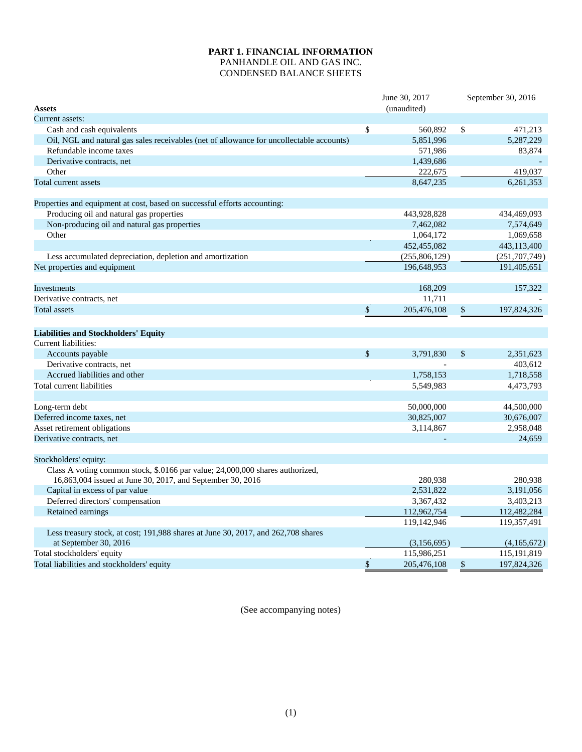## <span id="page-3-2"></span><span id="page-3-0"></span>**PART 1. FINANCIAL INFORMATION** PANHANDLE OIL AND GAS INC. CONDENSED BALANCE SHEETS

<span id="page-3-1"></span>

|                                                                                                            |               | June 30, 2017              |      | September 30, 2016 |
|------------------------------------------------------------------------------------------------------------|---------------|----------------------------|------|--------------------|
| Assets                                                                                                     |               | (unaudited)                |      |                    |
| Current assets:                                                                                            |               |                            |      |                    |
| Cash and cash equivalents                                                                                  | \$            | 560,892                    | \$   | 471,213            |
| Oil, NGL and natural gas sales receivables (net of allowance for uncollectable accounts)                   |               | 5,851,996                  |      | 5,287,229          |
| Refundable income taxes                                                                                    |               | 571,986                    |      | 83,874             |
| Derivative contracts, net                                                                                  |               | 1,439,686                  |      |                    |
| Other                                                                                                      |               | 222,675                    |      | 419,037            |
| Total current assets                                                                                       |               | 8,647,235                  |      | 6,261,353          |
| Properties and equipment at cost, based on successful efforts accounting:                                  |               |                            |      |                    |
| Producing oil and natural gas properties                                                                   |               | 443,928,828                |      | 434,469,093        |
| Non-producing oil and natural gas properties                                                               |               | 7,462,082                  |      | 7,574,649          |
| Other                                                                                                      |               | 1,064,172                  |      | 1,069,658          |
|                                                                                                            |               | 452,455,082                |      | 443,113,400        |
| Less accumulated depreciation, depletion and amortization                                                  |               | (255, 806, 129)            |      | (251, 707, 749)    |
| Net properties and equipment                                                                               |               | 196,648,953                |      | 191,405,651        |
| Investments                                                                                                |               | 168,209                    |      | 157,322            |
| Derivative contracts, net                                                                                  |               | 11,711                     |      |                    |
| Total assets                                                                                               | \$            | 205,476,108                | $\$$ | 197,824,326        |
|                                                                                                            |               |                            |      |                    |
| <b>Liabilities and Stockholders' Equity</b>                                                                |               |                            |      |                    |
| Current liabilities:                                                                                       |               |                            |      |                    |
| Accounts payable                                                                                           | $\mathcal{S}$ | 3,791,830                  | \$   | 2,351,623          |
| Derivative contracts, net                                                                                  |               |                            |      | 403,612            |
| Accrued liabilities and other                                                                              |               | 1,758,153                  |      | 1,718,558          |
| Total current liabilities                                                                                  |               | 5,549,983                  |      | 4,473,793          |
| Long-term debt                                                                                             |               | 50,000,000                 |      | 44,500,000         |
| Deferred income taxes, net                                                                                 |               | 30,825,007                 |      | 30,676,007         |
| Asset retirement obligations                                                                               |               | 3,114,867                  |      | 2,958,048          |
| Derivative contracts, net                                                                                  |               |                            |      | 24,659             |
| Stockholders' equity:                                                                                      |               |                            |      |                    |
| Class A voting common stock, \$.0166 par value; 24,000,000 shares authorized,                              |               |                            |      |                    |
| 16,863,004 issued at June 30, 2017, and September 30, 2016                                                 |               | 280,938                    |      | 280,938            |
| Capital in excess of par value                                                                             |               | 2,531,822                  |      | 3,191,056          |
| Deferred directors' compensation                                                                           |               | 3,367,432                  |      | 3,403,213          |
| Retained earnings                                                                                          |               | 112,962,754                |      | 112,482,284        |
|                                                                                                            |               | 119,142,946                |      | 119,357,491        |
| Less treasury stock, at cost; 191,988 shares at June 30, 2017, and 262,708 shares<br>at September 30, 2016 |               |                            |      | (4,165,672)        |
| Total stockholders' equity                                                                                 |               | (3,156,695)<br>115,986,251 |      | 115,191,819        |
| Total liabilities and stockholders' equity                                                                 | \$            | 205,476,108                | \$   | 197,824,326        |
|                                                                                                            |               |                            |      |                    |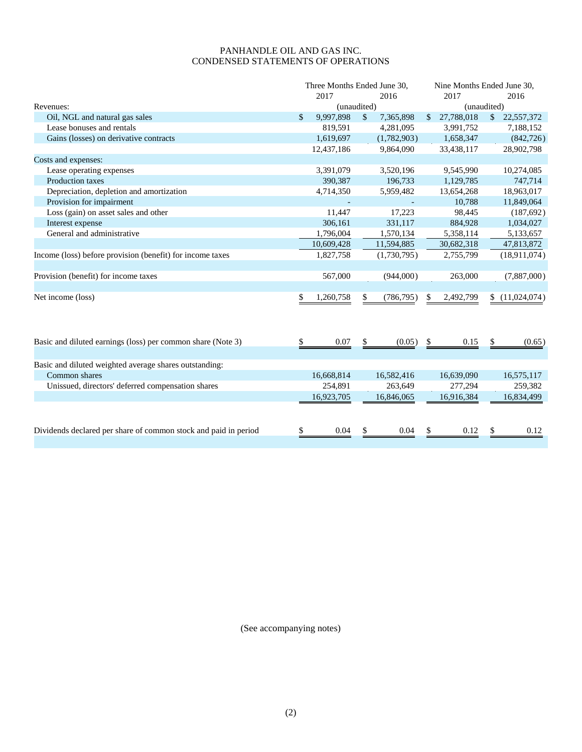## <span id="page-4-0"></span>PANHANDLE OIL AND GAS INC. CONDENSED STATEMENTS OF OPERATIONS

| 2017<br>2016<br>(unaudited)<br>Revenues:<br>Oil, NGL and natural gas sales<br>$\mathbb{S}$<br>9,997,898<br>$\mathcal{S}$<br>7,365,898<br>Lease bonuses and rentals<br>819,591<br>4,281,095<br>Gains (losses) on derivative contracts<br>1,619,697<br>(1,782,903)<br>12,437,186<br>9,864,090<br>Costs and expenses:<br>Lease operating expenses<br>3,391,079<br>3,520,196<br>Production taxes<br>390,387<br>196,733<br>Depreciation, depletion and amortization<br>4,714,350<br>5,959,482<br>Provision for impairment<br>Loss (gain) on asset sales and other<br>11,447<br>17,223<br>Interest expense<br>306,161<br>331,117<br>General and administrative<br>1,796,004<br>1,570,134<br>10,609,428<br>11,594,885<br>Income (loss) before provision (benefit) for income taxes<br>1,827,758<br>(1,730,795)<br>Provision (benefit) for income taxes<br>567,000<br>(944,000)<br>Net income (loss)<br>1,260,758<br>(786, 795)<br>\$<br>\$<br>Basic and diluted earnings (loss) per common share (Note 3)<br>0.07<br>\$<br>(0.05)<br>\$<br>Basic and diluted weighted average shares outstanding:<br>Common shares<br>16,668,814<br>16,582,416<br>Unissued, directors' deferred compensation shares<br>254,891<br>263,649<br>16,923,705<br>16,846,065 |                  | Nine Months Ended June 30, |
|------------------------------------------------------------------------------------------------------------------------------------------------------------------------------------------------------------------------------------------------------------------------------------------------------------------------------------------------------------------------------------------------------------------------------------------------------------------------------------------------------------------------------------------------------------------------------------------------------------------------------------------------------------------------------------------------------------------------------------------------------------------------------------------------------------------------------------------------------------------------------------------------------------------------------------------------------------------------------------------------------------------------------------------------------------------------------------------------------------------------------------------------------------------------------------------------------------------------------------------------|------------------|----------------------------|
|                                                                                                                                                                                                                                                                                                                                                                                                                                                                                                                                                                                                                                                                                                                                                                                                                                                                                                                                                                                                                                                                                                                                                                                                                                                | 2017             | 2016                       |
|                                                                                                                                                                                                                                                                                                                                                                                                                                                                                                                                                                                                                                                                                                                                                                                                                                                                                                                                                                                                                                                                                                                                                                                                                                                |                  | (unaudited)                |
|                                                                                                                                                                                                                                                                                                                                                                                                                                                                                                                                                                                                                                                                                                                                                                                                                                                                                                                                                                                                                                                                                                                                                                                                                                                | 27,788,018<br>\$ | $\mathbb{S}$<br>22,557,372 |
|                                                                                                                                                                                                                                                                                                                                                                                                                                                                                                                                                                                                                                                                                                                                                                                                                                                                                                                                                                                                                                                                                                                                                                                                                                                | 3,991,752        | 7,188,152                  |
|                                                                                                                                                                                                                                                                                                                                                                                                                                                                                                                                                                                                                                                                                                                                                                                                                                                                                                                                                                                                                                                                                                                                                                                                                                                | 1,658,347        | (842, 726)                 |
|                                                                                                                                                                                                                                                                                                                                                                                                                                                                                                                                                                                                                                                                                                                                                                                                                                                                                                                                                                                                                                                                                                                                                                                                                                                | 33,438,117       | 28,902,798                 |
|                                                                                                                                                                                                                                                                                                                                                                                                                                                                                                                                                                                                                                                                                                                                                                                                                                                                                                                                                                                                                                                                                                                                                                                                                                                |                  |                            |
|                                                                                                                                                                                                                                                                                                                                                                                                                                                                                                                                                                                                                                                                                                                                                                                                                                                                                                                                                                                                                                                                                                                                                                                                                                                | 9,545,990        | 10,274,085                 |
|                                                                                                                                                                                                                                                                                                                                                                                                                                                                                                                                                                                                                                                                                                                                                                                                                                                                                                                                                                                                                                                                                                                                                                                                                                                | 1,129,785        | 747,714                    |
|                                                                                                                                                                                                                                                                                                                                                                                                                                                                                                                                                                                                                                                                                                                                                                                                                                                                                                                                                                                                                                                                                                                                                                                                                                                | 13,654,268       | 18,963,017                 |
|                                                                                                                                                                                                                                                                                                                                                                                                                                                                                                                                                                                                                                                                                                                                                                                                                                                                                                                                                                                                                                                                                                                                                                                                                                                |                  | 10,788<br>11,849,064       |
|                                                                                                                                                                                                                                                                                                                                                                                                                                                                                                                                                                                                                                                                                                                                                                                                                                                                                                                                                                                                                                                                                                                                                                                                                                                |                  | 98,445<br>(187, 692)       |
|                                                                                                                                                                                                                                                                                                                                                                                                                                                                                                                                                                                                                                                                                                                                                                                                                                                                                                                                                                                                                                                                                                                                                                                                                                                |                  | 884,928<br>1,034,027       |
|                                                                                                                                                                                                                                                                                                                                                                                                                                                                                                                                                                                                                                                                                                                                                                                                                                                                                                                                                                                                                                                                                                                                                                                                                                                | 5,358,114        | 5,133,657                  |
|                                                                                                                                                                                                                                                                                                                                                                                                                                                                                                                                                                                                                                                                                                                                                                                                                                                                                                                                                                                                                                                                                                                                                                                                                                                | 30,682,318       | 47,813,872                 |
|                                                                                                                                                                                                                                                                                                                                                                                                                                                                                                                                                                                                                                                                                                                                                                                                                                                                                                                                                                                                                                                                                                                                                                                                                                                | 2,755,799        | (18,911,074)               |
|                                                                                                                                                                                                                                                                                                                                                                                                                                                                                                                                                                                                                                                                                                                                                                                                                                                                                                                                                                                                                                                                                                                                                                                                                                                |                  |                            |
|                                                                                                                                                                                                                                                                                                                                                                                                                                                                                                                                                                                                                                                                                                                                                                                                                                                                                                                                                                                                                                                                                                                                                                                                                                                |                  | 263,000<br>(7,887,000)     |
|                                                                                                                                                                                                                                                                                                                                                                                                                                                                                                                                                                                                                                                                                                                                                                                                                                                                                                                                                                                                                                                                                                                                                                                                                                                |                  |                            |
|                                                                                                                                                                                                                                                                                                                                                                                                                                                                                                                                                                                                                                                                                                                                                                                                                                                                                                                                                                                                                                                                                                                                                                                                                                                | 2,492,799<br>\$  | \$(11,024,074)             |
|                                                                                                                                                                                                                                                                                                                                                                                                                                                                                                                                                                                                                                                                                                                                                                                                                                                                                                                                                                                                                                                                                                                                                                                                                                                |                  |                            |
|                                                                                                                                                                                                                                                                                                                                                                                                                                                                                                                                                                                                                                                                                                                                                                                                                                                                                                                                                                                                                                                                                                                                                                                                                                                |                  |                            |
|                                                                                                                                                                                                                                                                                                                                                                                                                                                                                                                                                                                                                                                                                                                                                                                                                                                                                                                                                                                                                                                                                                                                                                                                                                                |                  |                            |
|                                                                                                                                                                                                                                                                                                                                                                                                                                                                                                                                                                                                                                                                                                                                                                                                                                                                                                                                                                                                                                                                                                                                                                                                                                                | <sup>\$</sup>    | 0.15<br>\$<br>(0.65)       |
|                                                                                                                                                                                                                                                                                                                                                                                                                                                                                                                                                                                                                                                                                                                                                                                                                                                                                                                                                                                                                                                                                                                                                                                                                                                |                  |                            |
|                                                                                                                                                                                                                                                                                                                                                                                                                                                                                                                                                                                                                                                                                                                                                                                                                                                                                                                                                                                                                                                                                                                                                                                                                                                |                  |                            |
|                                                                                                                                                                                                                                                                                                                                                                                                                                                                                                                                                                                                                                                                                                                                                                                                                                                                                                                                                                                                                                                                                                                                                                                                                                                | 16,639,090       | 16,575,117                 |
|                                                                                                                                                                                                                                                                                                                                                                                                                                                                                                                                                                                                                                                                                                                                                                                                                                                                                                                                                                                                                                                                                                                                                                                                                                                |                  | 277,294<br>259,382         |
|                                                                                                                                                                                                                                                                                                                                                                                                                                                                                                                                                                                                                                                                                                                                                                                                                                                                                                                                                                                                                                                                                                                                                                                                                                                | 16,916,384       | 16,834,499                 |
|                                                                                                                                                                                                                                                                                                                                                                                                                                                                                                                                                                                                                                                                                                                                                                                                                                                                                                                                                                                                                                                                                                                                                                                                                                                |                  |                            |
|                                                                                                                                                                                                                                                                                                                                                                                                                                                                                                                                                                                                                                                                                                                                                                                                                                                                                                                                                                                                                                                                                                                                                                                                                                                |                  |                            |
| Dividends declared per share of common stock and paid in period<br>0.04<br>0.04<br>\$<br>S                                                                                                                                                                                                                                                                                                                                                                                                                                                                                                                                                                                                                                                                                                                                                                                                                                                                                                                                                                                                                                                                                                                                                     | \$               | 0.12<br>0.12               |
|                                                                                                                                                                                                                                                                                                                                                                                                                                                                                                                                                                                                                                                                                                                                                                                                                                                                                                                                                                                                                                                                                                                                                                                                                                                |                  |                            |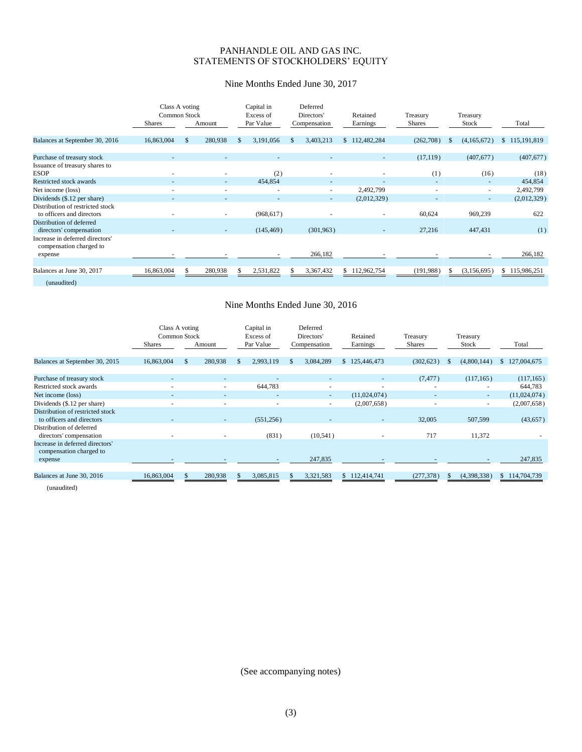## PANHANDLE OIL AND GAS INC. STATEMENTS OF STOCKHOLDERS' EQUITY

# <span id="page-5-0"></span>Nine Months Ended June 30, 2017

|                                                               | Class A voting<br><b>Common Stock</b> |              | Capital in<br>Excess of | Deferred<br>Directors'   | Retained      | Treasury                 | Treasury                 |                     |  |
|---------------------------------------------------------------|---------------------------------------|--------------|-------------------------|--------------------------|---------------|--------------------------|--------------------------|---------------------|--|
|                                                               | Shares                                | Amount       | Par Value               | Compensation             | Earnings      | <b>Shares</b>            | Stock                    | Total               |  |
| Balances at September 30, 2016                                | 16,863,004                            | 280,938<br>S | 3,191,056               | 3,403,213                | \$112,482,284 | (262,708)                | (4,165,672)              | 115, 191, 819<br>\$ |  |
| Purchase of treasury stock                                    |                                       |              |                         |                          |               | (17, 119)                | (407,677)                | (407, 677)          |  |
| Issuance of treasury shares to<br><b>ESOP</b>                 |                                       |              | (2)                     |                          |               | (1)                      | (16)                     | (18)                |  |
| Restricted stock awards                                       | $\sim$                                | ۰.           | 454,854                 | $\overline{\phantom{a}}$ | ٠             |                          | $\sim$                   | 454,854             |  |
| Net income (loss)                                             | $\sim$                                | ۰            | ۰.                      | $\overline{\phantom{a}}$ | 2,492,799     | $\overline{\phantom{a}}$ | $\overline{\phantom{a}}$ | 2,492,799           |  |
| Dividends (\$.12 per share)                                   | $\overline{\phantom{a}}$              |              |                         | ٠                        | (2,012,329)   |                          | ٠                        | (2,012,329)         |  |
| Distribution of restricted stock<br>to officers and directors |                                       |              | (968, 617)              |                          |               | 60,624                   | 969,239                  | 622                 |  |
| Distribution of deferred<br>directors' compensation           |                                       |              | (145, 469)              | (301,963)                |               | 27,216                   | 447,431                  | (1)                 |  |
| Increase in deferred directors'<br>compensation charged to    |                                       |              |                         |                          |               |                          |                          |                     |  |
| expense                                                       |                                       |              |                         | 266,182                  |               |                          |                          | 266,182             |  |
| Balances at June 30, 2017                                     | 16,863,004                            | 280,938      | 2,531,822               | 3,367,432                | \$112,962,754 | (191, 988)               | (3,156,695)<br>S.        | \$115,986,251       |  |
| (unaudited)                                                   |                                       |              |                         |                          |               |                          |                          |                     |  |

# Nine Months Ended June 30, 2016

|                                                                       | Class A voting<br>Common Stock<br><b>Shares</b> | Amount        |    | Capital in<br>Excess of<br>Par Value | Deferred<br>Directors'<br>Compensation |    | Retained<br>Earnings     | Treasury<br>Treasury<br><b>Shares</b><br>Stock |                          |          |                          |  |               |  |  | Total |
|-----------------------------------------------------------------------|-------------------------------------------------|---------------|----|--------------------------------------|----------------------------------------|----|--------------------------|------------------------------------------------|--------------------------|----------|--------------------------|--|---------------|--|--|-------|
| Balances at September 30, 2015                                        | 16,863,004                                      | \$<br>280,938 |    | 2,993,119                            | 3,084,289                              | S. | 125,446,473              |                                                | (302, 623)               |          | (4,800,144)              |  | 127,004,675   |  |  |       |
| Purchase of treasury stock                                            | $\overline{\phantom{a}}$                        |               |    |                                      | $\overline{\phantom{a}}$               |    |                          |                                                | (7, 477)                 |          | (117, 165)               |  | (117, 165)    |  |  |       |
| Restricted stock awards                                               | $\sim$                                          | ٠.            |    | 644,783                              | $\overline{\phantom{a}}$               |    | $\overline{\phantom{0}}$ |                                                | $\overline{\phantom{a}}$ |          | $\overline{\phantom{a}}$ |  | 644,783       |  |  |       |
| Net income (loss)                                                     |                                                 |               |    |                                      | $\sim$                                 |    | (11,024,074)             |                                                |                          |          | $\overline{\phantom{a}}$ |  | (11,024,074)  |  |  |       |
| Dividends (\$.12 per share)                                           | $\overline{\phantom{a}}$                        |               |    | $\overline{\phantom{a}}$             | $\overline{\phantom{a}}$               |    | (2,007,658)              |                                                | $\overline{\phantom{a}}$ |          | $\overline{\phantom{a}}$ |  | (2,007,658)   |  |  |       |
| Distribution of restricted stock<br>to officers and directors         |                                                 |               |    | (551, 256)                           |                                        |    | $\overline{\phantom{0}}$ |                                                | 32,005                   |          | 507,599                  |  | (43, 657)     |  |  |       |
| Distribution of deferred<br>directors' compensation                   |                                                 |               |    | (831)                                | (10, 541)                              |    |                          |                                                | 717                      |          | 11,372                   |  |               |  |  |       |
| Increase in deferred directors'<br>compensation charged to<br>expense |                                                 |               |    |                                      | 247,835                                |    |                          |                                                |                          |          | $\overline{\phantom{a}}$ |  | 247,835       |  |  |       |
|                                                                       |                                                 |               |    |                                      |                                        |    |                          |                                                |                          |          |                          |  |               |  |  |       |
| Balances at June 30, 2016                                             | 16,863,004                                      | 280,938       | S. | 3,085,815                            | 3,321,583                              |    | \$112,414,741            |                                                | (277, 378)               | <b>S</b> | (4,398,338)              |  | \$114,704,739 |  |  |       |
| (unaudited)                                                           |                                                 |               |    |                                      |                                        |    |                          |                                                |                          |          |                          |  |               |  |  |       |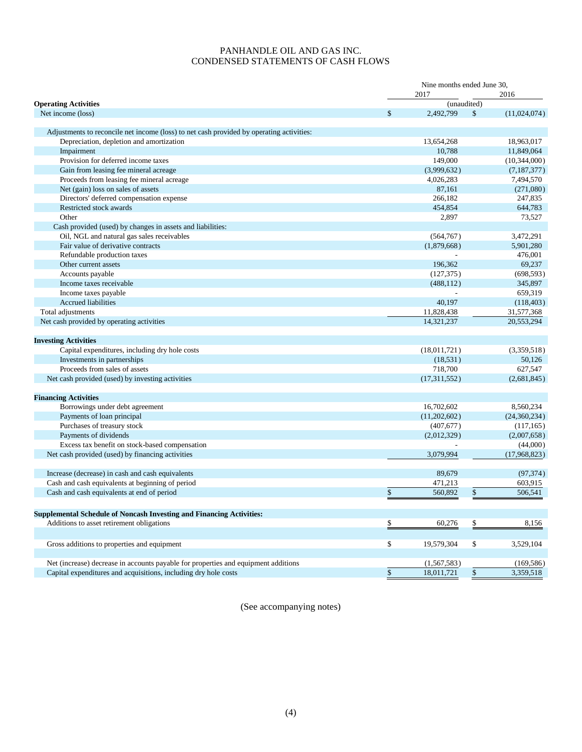# <span id="page-6-0"></span>PANHANDLE OIL AND GAS INC. CONDENSED STATEMENTS OF CASH FLOWS

|                                                                                          |               | Nine months ended June 30, |                    |
|------------------------------------------------------------------------------------------|---------------|----------------------------|--------------------|
|                                                                                          |               | 2017                       | 2016               |
| <b>Operating Activities</b>                                                              |               | (unaudited)                |                    |
| Net income (loss)                                                                        | $\mathsf{\$}$ | 2,492,799                  | \$<br>(11,024,074) |
|                                                                                          |               |                            |                    |
| Adjustments to reconcile net income (loss) to net cash provided by operating activities: |               |                            |                    |
| Depreciation, depletion and amortization                                                 |               | 13,654,268                 | 18,963,017         |
| Impairment                                                                               |               | 10,788                     | 11,849,064         |
| Provision for deferred income taxes                                                      |               | 149,000                    | (10,344,000)       |
| Gain from leasing fee mineral acreage                                                    |               | (3,999,632)                | (7, 187, 377)      |
| Proceeds from leasing fee mineral acreage                                                |               | 4,026,283                  | 7,494,570          |
| Net (gain) loss on sales of assets                                                       |               | 87,161                     | (271,080)          |
| Directors' deferred compensation expense                                                 |               | 266,182                    | 247,835            |
| Restricted stock awards                                                                  |               | 454,854                    | 644,783            |
| Other                                                                                    |               | 2,897                      | 73,527             |
| Cash provided (used) by changes in assets and liabilities:                               |               |                            |                    |
| Oil, NGL and natural gas sales receivables                                               |               | (564, 767)                 | 3,472,291          |
| Fair value of derivative contracts                                                       |               | (1,879,668)                | 5,901,280          |
| Refundable production taxes                                                              |               |                            | 476.001            |
| Other current assets                                                                     |               | 196,362                    | 69,237             |
| Accounts payable                                                                         |               | (127, 375)                 | (698, 593)         |
| Income taxes receivable                                                                  |               | (488, 112)                 | 345,897            |
| Income taxes payable                                                                     |               |                            | 659,319            |
| <b>Accrued liabilities</b>                                                               |               | 40,197                     | (118, 403)         |
| Total adjustments                                                                        |               | 11,828,438                 | 31,577,368         |
| Net cash provided by operating activities                                                |               | 14,321,237                 | 20,553,294         |
|                                                                                          |               |                            |                    |
| <b>Investing Activities</b>                                                              |               |                            |                    |
| Capital expenditures, including dry hole costs                                           |               | (18,011,721)               | (3,359,518)        |
| Investments in partnerships                                                              |               | (18, 531)                  | 50,126             |
| Proceeds from sales of assets                                                            |               | 718,700                    | 627,547            |
| Net cash provided (used) by investing activities                                         |               | (17,311,552)               | (2,681,845)        |
|                                                                                          |               |                            |                    |
| <b>Financing Activities</b>                                                              |               |                            |                    |
| Borrowings under debt agreement                                                          |               | 16,702,602                 | 8,560,234          |
| Payments of loan principal                                                               |               | (11,202,602)               | (24, 360, 234)     |
| Purchases of treasury stock                                                              |               | (407,677)                  | (117, 165)         |
| Payments of dividends                                                                    |               | (2,012,329)                | (2,007,658)        |
| Excess tax benefit on stock-based compensation                                           |               |                            | (44,000)           |
| Net cash provided (used) by financing activities                                         |               | 3,079,994                  | (17,968,823)       |
|                                                                                          |               |                            |                    |
| Increase (decrease) in cash and cash equivalents                                         |               | 89.679                     | (97, 374)          |
| Cash and cash equivalents at beginning of period                                         |               | 471,213                    | 603,915            |
| Cash and cash equivalents at end of period                                               | \$            | 560,892                    | \$<br>506,541      |
|                                                                                          |               |                            |                    |
|                                                                                          |               |                            |                    |
| <b>Supplemental Schedule of Noncash Investing and Financing Activities:</b>              |               |                            |                    |
| Additions to asset retirement obligations                                                | \$            | 60,276                     | \$<br>8,156        |
| Gross additions to properties and equipment                                              | \$            | 19,579,304                 | \$<br>3,529,104    |
|                                                                                          |               |                            |                    |
| Net (increase) decrease in accounts payable for properties and equipment additions       |               | (1, 567, 583)              | (169, 586)         |
| Capital expenditures and acquisitions, including dry hole costs                          | \$            | 18,011,721                 | \$<br>3,359,518    |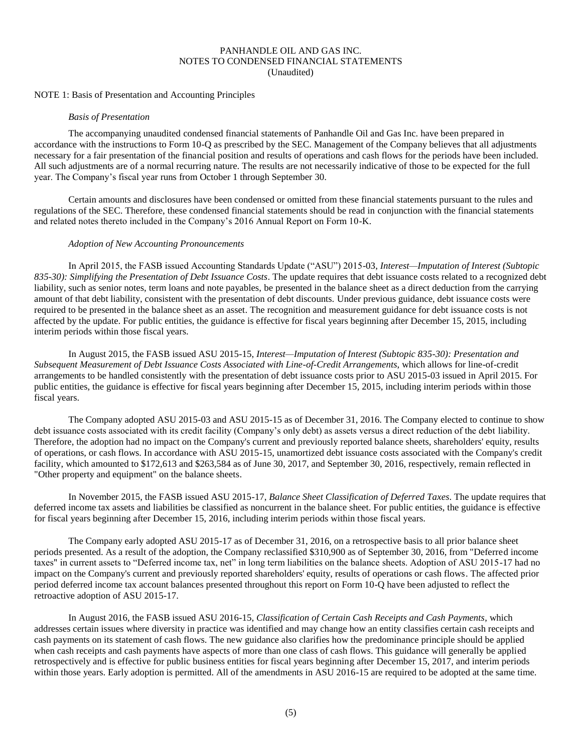### <span id="page-7-0"></span>PANHANDLE OIL AND GAS INC. NOTES TO CONDENSED FINANCIAL STATEMENTS (Unaudited)

NOTE 1: Basis of Presentation and Accounting Principles

#### *Basis of Presentation*

The accompanying unaudited condensed financial statements of Panhandle Oil and Gas Inc. have been prepared in accordance with the instructions to Form 10-Q as prescribed by the SEC. Management of the Company believes that all adjustments necessary for a fair presentation of the financial position and results of operations and cash flows for the periods have been included. All such adjustments are of a normal recurring nature. The results are not necessarily indicative of those to be expected for the full year. The Company's fiscal year runs from October 1 through September 30.

Certain amounts and disclosures have been condensed or omitted from these financial statements pursuant to the rules and regulations of the SEC. Therefore, these condensed financial statements should be read in conjunction with the financial statements and related notes thereto included in the Company's 2016 Annual Report on Form 10-K.

#### *Adoption of New Accounting Pronouncements*

In April 2015, the FASB issued Accounting Standards Update ("ASU") 2015-03, *Interest—Imputation of Interest (Subtopic 835-30): Simplifying the Presentation of Debt Issuance Costs*. The update requires that debt issuance costs related to a recognized debt liability, such as senior notes, term loans and note payables, be presented in the balance sheet as a direct deduction from the carrying amount of that debt liability, consistent with the presentation of debt discounts. Under previous guidance, debt issuance costs were required to be presented in the balance sheet as an asset. The recognition and measurement guidance for debt issuance costs is not affected by the update. For public entities, the guidance is effective for fiscal years beginning after December 15, 2015, including interim periods within those fiscal years.

In August 2015, the FASB issued ASU 2015-15, *Interest—Imputation of Interest (Subtopic 835-30): Presentation and Subsequent Measurement of Debt Issuance Costs Associated with Line-of-Credit Arrangements*, which allows for line-of-credit arrangements to be handled consistently with the presentation of debt issuance costs prior to ASU 2015-03 issued in April 2015. For public entities, the guidance is effective for fiscal years beginning after December 15, 2015, including interim periods within those fiscal years.

The Company adopted ASU 2015-03 and ASU 2015-15 as of December 31, 2016. The Company elected to continue to show debt issuance costs associated with its credit facility (Company's only debt) as assets versus a direct reduction of the debt liability. Therefore, the adoption had no impact on the Company's current and previously reported balance sheets, shareholders' equity, results of operations, or cash flows. In accordance with ASU 2015-15, unamortized debt issuance costs associated with the Company's credit facility, which amounted to \$172,613 and \$263,584 as of June 30, 2017, and September 30, 2016, respectively, remain reflected in "Other property and equipment" on the balance sheets.

In November 2015, the FASB issued ASU 2015-17, *Balance Sheet Classification of Deferred Taxes*. The update requires that deferred income tax assets and liabilities be classified as noncurrent in the balance sheet. For public entities, the guidance is effective for fiscal years beginning after December 15, 2016, including interim periods within those fiscal years.

The Company early adopted ASU 2015-17 as of December 31, 2016, on a retrospective basis to all prior balance sheet periods presented. As a result of the adoption, the Company reclassified \$310,900 as of September 30, 2016, from "Deferred income taxes" in current assets to "Deferred income tax, net" in long term liabilities on the balance sheets. Adoption of ASU 2015-17 had no impact on the Company's current and previously reported shareholders' equity, results of operations or cash flows. The affected prior period deferred income tax account balances presented throughout this report on Form 10-Q have been adjusted to reflect the retroactive adoption of ASU 2015-17.

In August 2016, the FASB issued ASU 2016-15, *Classification of Certain Cash Receipts and Cash Payments*, which addresses certain issues where diversity in practice was identified and may change how an entity classifies certain cash receipts and cash payments on its statement of cash flows. The new guidance also clarifies how the predominance principle should be applied when cash receipts and cash payments have aspects of more than one class of cash flows. This guidance will generally be applied retrospectively and is effective for public business entities for fiscal years beginning after December 15, 2017, and interim periods within those years. Early adoption is permitted. All of the amendments in ASU 2016-15 are required to be adopted at the same time.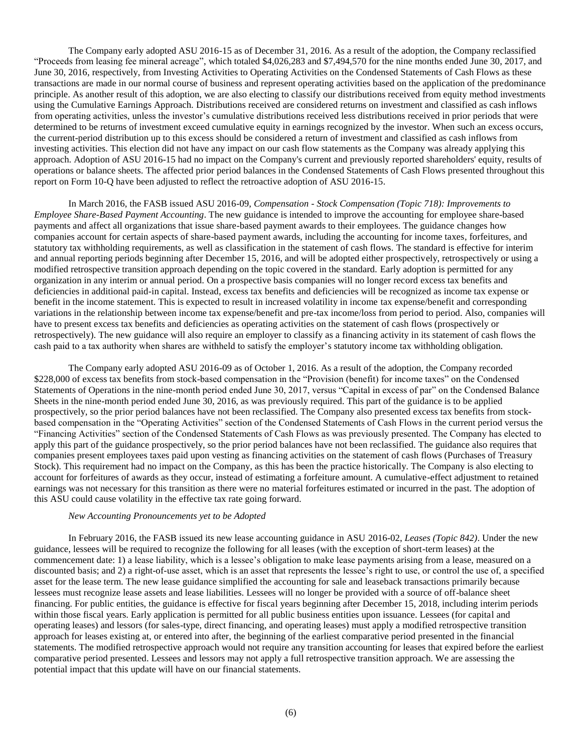The Company early adopted ASU 2016-15 as of December 31, 2016. As a result of the adoption, the Company reclassified "Proceeds from leasing fee mineral acreage", which totaled \$4,026,283 and \$7,494,570 for the nine months ended June 30, 2017, and June 30, 2016, respectively, from Investing Activities to Operating Activities on the Condensed Statements of Cash Flows as these transactions are made in our normal course of business and represent operating activities based on the application of the predominance principle. As another result of this adoption, we are also electing to classify our distributions received from equity method investments using the Cumulative Earnings Approach. Distributions received are considered returns on investment and classified as cash inflows from operating activities, unless the investor's cumulative distributions received less distributions received in prior periods that were determined to be returns of investment exceed cumulative equity in earnings recognized by the investor. When such an excess occurs, the current-period distribution up to this excess should be considered a return of investment and classified as cash inflows from investing activities. This election did not have any impact on our cash flow statements as the Company was already applying this approach. Adoption of ASU 2016-15 had no impact on the Company's current and previously reported shareholders' equity, results of operations or balance sheets. The affected prior period balances in the Condensed Statements of Cash Flows presented throughout this report on Form 10-Q have been adjusted to reflect the retroactive adoption of ASU 2016-15.

In March 2016, the FASB issued ASU 2016-09, *Compensation - Stock Compensation (Topic 718): Improvements to Employee Share-Based Payment Accounting*. The new guidance is intended to improve the accounting for employee share-based payments and affect all organizations that issue share-based payment awards to their employees. The guidance changes how companies account for certain aspects of share-based payment awards, including the accounting for income taxes, forfeitures, and statutory tax withholding requirements, as well as classification in the statement of cash flows. The standard is effective for interim and annual reporting periods beginning after December 15, 2016, and will be adopted either prospectively, retrospectively or using a modified retrospective transition approach depending on the topic covered in the standard. Early adoption is permitted for any organization in any interim or annual period. On a prospective basis companies will no longer record excess tax benefits and deficiencies in additional paid-in capital. Instead, excess tax benefits and deficiencies will be recognized as income tax expense or benefit in the income statement. This is expected to result in increased volatility in income tax expense/benefit and corresponding variations in the relationship between income tax expense/benefit and pre-tax income/loss from period to period. Also, companies will have to present excess tax benefits and deficiencies as operating activities on the statement of cash flows (prospectively or retrospectively). The new guidance will also require an employer to classify as a financing activity in its statement of cash flows the cash paid to a tax authority when shares are withheld to satisfy the employer's statutory income tax withholding obligation.

The Company early adopted ASU 2016-09 as of October 1, 2016. As a result of the adoption, the Company recorded \$228,000 of excess tax benefits from stock-based compensation in the "Provision (benefit) for income taxes" on the Condensed Statements of Operations in the nine-month period ended June 30, 2017, versus "Capital in excess of par" on the Condensed Balance Sheets in the nine-month period ended June 30, 2016, as was previously required. This part of the guidance is to be applied prospectively, so the prior period balances have not been reclassified. The Company also presented excess tax benefits from stockbased compensation in the "Operating Activities" section of the Condensed Statements of Cash Flows in the current period versus the "Financing Activities" section of the Condensed Statements of Cash Flows as was previously presented. The Company has elected to apply this part of the guidance prospectively, so the prior period balances have not been reclassified. The guidance also requires that companies present employees taxes paid upon vesting as financing activities on the statement of cash flows (Purchases of Treasury Stock). This requirement had no impact on the Company, as this has been the practice historically. The Company is also electing to account for forfeitures of awards as they occur, instead of estimating a forfeiture amount. A cumulative-effect adjustment to retained earnings was not necessary for this transition as there were no material forfeitures estimated or incurred in the past. The adoption of this ASU could cause volatility in the effective tax rate going forward.

## *New Accounting Pronouncements yet to be Adopted*

In February 2016, the FASB issued its new lease accounting guidance in ASU 2016-02, *Leases (Topic 842)*. Under the new guidance, lessees will be required to recognize the following for all leases (with the exception of short-term leases) at the commencement date: 1) a lease liability, which is a lessee's obligation to make lease payments arising from a lease, measured on a discounted basis; and 2) a right-of-use asset, which is an asset that represents the lessee's right to use, or control the use of, a specified asset for the lease term. The new lease guidance simplified the accounting for sale and leaseback transactions primarily because lessees must recognize lease assets and lease liabilities. Lessees will no longer be provided with a source of off-balance sheet financing. For public entities, the guidance is effective for fiscal years beginning after December 15, 2018, including interim periods within those fiscal years. Early application is permitted for all public business entities upon issuance. Lessees (for capital and operating leases) and lessors (for sales-type, direct financing, and operating leases) must apply a modified retrospective transition approach for leases existing at, or entered into after, the beginning of the earliest comparative period presented in the financial statements. The modified retrospective approach would not require any transition accounting for leases that expired before the earliest comparative period presented. Lessees and lessors may not apply a full retrospective transition approach. We are assessing the potential impact that this update will have on our financial statements.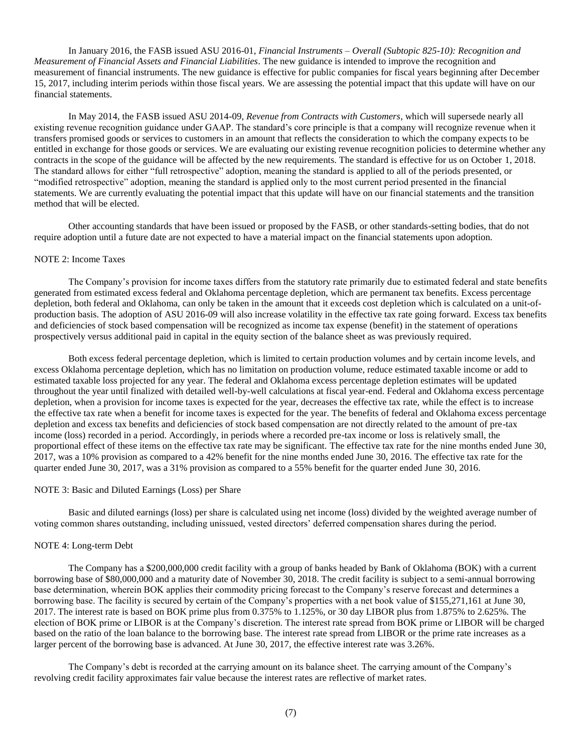In January 2016, the FASB issued ASU 2016-01, *Financial Instruments – Overall (Subtopic 825-10): Recognition and Measurement of Financial Assets and Financial Liabilities*. The new guidance is intended to improve the recognition and measurement of financial instruments. The new guidance is effective for public companies for fiscal years beginning after December 15, 2017, including interim periods within those fiscal years. We are assessing the potential impact that this update will have on our financial statements.

In May 2014, the FASB issued ASU 2014-09, *Revenue from Contracts with Customers*, which will supersede nearly all existing revenue recognition guidance under GAAP. The standard's core principle is that a company will recognize revenue when it transfers promised goods or services to customers in an amount that reflects the consideration to which the company expects to be entitled in exchange for those goods or services. We are evaluating our existing revenue recognition policies to determine whether any contracts in the scope of the guidance will be affected by the new requirements. The standard is effective for us on October 1, 2018. The standard allows for either "full retrospective" adoption, meaning the standard is applied to all of the periods presented, or "modified retrospective" adoption, meaning the standard is applied only to the most current period presented in the financial statements. We are currently evaluating the potential impact that this update will have on our financial statements and the transition method that will be elected.

Other accounting standards that have been issued or proposed by the FASB, or other standards-setting bodies, that do not require adoption until a future date are not expected to have a material impact on the financial statements upon adoption.

#### NOTE 2: Income Taxes

The Company's provision for income taxes differs from the statutory rate primarily due to estimated federal and state benefits generated from estimated excess federal and Oklahoma percentage depletion, which are permanent tax benefits. Excess percentage depletion, both federal and Oklahoma, can only be taken in the amount that it exceeds cost depletion which is calculated on a unit-ofproduction basis. The adoption of ASU 2016-09 will also increase volatility in the effective tax rate going forward. Excess tax benefits and deficiencies of stock based compensation will be recognized as income tax expense (benefit) in the statement of operations prospectively versus additional paid in capital in the equity section of the balance sheet as was previously required.

Both excess federal percentage depletion, which is limited to certain production volumes and by certain income levels, and excess Oklahoma percentage depletion, which has no limitation on production volume, reduce estimated taxable income or add to estimated taxable loss projected for any year. The federal and Oklahoma excess percentage depletion estimates will be updated throughout the year until finalized with detailed well-by-well calculations at fiscal year-end. Federal and Oklahoma excess percentage depletion, when a provision for income taxes is expected for the year, decreases the effective tax rate, while the effect is to increase the effective tax rate when a benefit for income taxes is expected for the year. The benefits of federal and Oklahoma excess percentage depletion and excess tax benefits and deficiencies of stock based compensation are not directly related to the amount of pre-tax income (loss) recorded in a period. Accordingly, in periods where a recorded pre-tax income or loss is relatively small, the proportional effect of these items on the effective tax rate may be significant. The effective tax rate for the nine months ended June 30, 2017, was a 10% provision as compared to a 42% benefit for the nine months ended June 30, 2016. The effective tax rate for the quarter ended June 30, 2017, was a 31% provision as compared to a 55% benefit for the quarter ended June 30, 2016.

#### NOTE 3: Basic and Diluted Earnings (Loss) per Share

Basic and diluted earnings (loss) per share is calculated using net income (loss) divided by the weighted average number of voting common shares outstanding, including unissued, vested directors' deferred compensation shares during the period.

### NOTE 4: Long-term Debt

The Company has a \$200,000,000 credit facility with a group of banks headed by Bank of Oklahoma (BOK) with a current borrowing base of \$80,000,000 and a maturity date of November 30, 2018. The credit facility is subject to a semi-annual borrowing base determination, wherein BOK applies their commodity pricing forecast to the Company's reserve forecast and determines a borrowing base. The facility is secured by certain of the Company's properties with a net book value of \$155,271,161 at June 30, 2017. The interest rate is based on BOK prime plus from 0.375% to 1.125%, or 30 day LIBOR plus from 1.875% to 2.625%. The election of BOK prime or LIBOR is at the Company's discretion. The interest rate spread from BOK prime or LIBOR will be charged based on the ratio of the loan balance to the borrowing base. The interest rate spread from LIBOR or the prime rate increases as a larger percent of the borrowing base is advanced. At June 30, 2017, the effective interest rate was 3.26%.

The Company's debt is recorded at the carrying amount on its balance sheet. The carrying amount of the Company's revolving credit facility approximates fair value because the interest rates are reflective of market rates.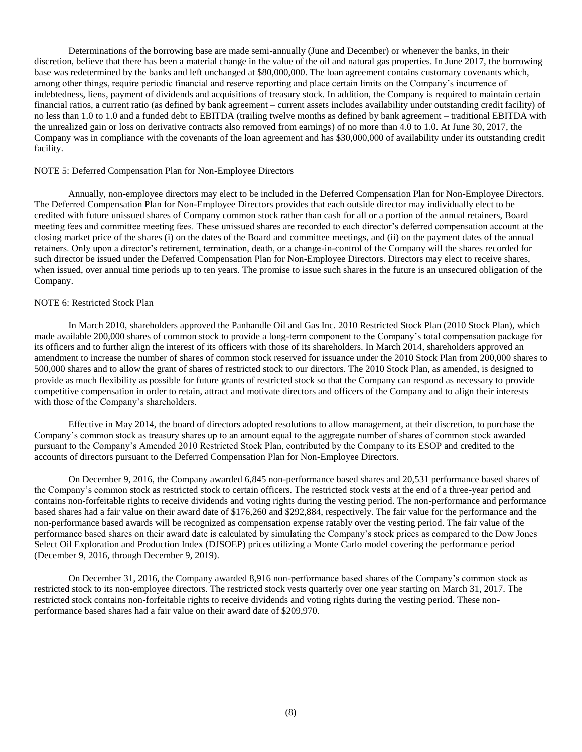Determinations of the borrowing base are made semi-annually (June and December) or whenever the banks, in their discretion, believe that there has been a material change in the value of the oil and natural gas properties. In June 2017, the borrowing base was redetermined by the banks and left unchanged at \$80,000,000. The loan agreement contains customary covenants which, among other things, require periodic financial and reserve reporting and place certain limits on the Company's incurrence of indebtedness, liens, payment of dividends and acquisitions of treasury stock. In addition, the Company is required to maintain certain financial ratios, a current ratio (as defined by bank agreement – current assets includes availability under outstanding credit facility) of no less than 1.0 to 1.0 and a funded debt to EBITDA (trailing twelve months as defined by bank agreement – traditional EBITDA with the unrealized gain or loss on derivative contracts also removed from earnings) of no more than 4.0 to 1.0. At June 30, 2017, the Company was in compliance with the covenants of the loan agreement and has \$30,000,000 of availability under its outstanding credit facility.

## NOTE 5: Deferred Compensation Plan for Non-Employee Directors

Annually, non-employee directors may elect to be included in the Deferred Compensation Plan for Non-Employee Directors. The Deferred Compensation Plan for Non-Employee Directors provides that each outside director may individually elect to be credited with future unissued shares of Company common stock rather than cash for all or a portion of the annual retainers, Board meeting fees and committee meeting fees. These unissued shares are recorded to each director's deferred compensation account at the closing market price of the shares (i) on the dates of the Board and committee meetings, and (ii) on the payment dates of the annual retainers. Only upon a director's retirement, termination, death, or a change-in-control of the Company will the shares recorded for such director be issued under the Deferred Compensation Plan for Non-Employee Directors. Directors may elect to receive shares, when issued, over annual time periods up to ten years. The promise to issue such shares in the future is an unsecured obligation of the Company.

## NOTE 6: Restricted Stock Plan

In March 2010, shareholders approved the Panhandle Oil and Gas Inc. 2010 Restricted Stock Plan (2010 Stock Plan), which made available 200,000 shares of common stock to provide a long-term component to the Company's total compensation package for its officers and to further align the interest of its officers with those of its shareholders. In March 2014, shareholders approved an amendment to increase the number of shares of common stock reserved for issuance under the 2010 Stock Plan from 200,000 shares to 500,000 shares and to allow the grant of shares of restricted stock to our directors. The 2010 Stock Plan, as amended, is designed to provide as much flexibility as possible for future grants of restricted stock so that the Company can respond as necessary to provide competitive compensation in order to retain, attract and motivate directors and officers of the Company and to align their interests with those of the Company's shareholders.

Effective in May 2014, the board of directors adopted resolutions to allow management, at their discretion, to purchase the Company's common stock as treasury shares up to an amount equal to the aggregate number of shares of common stock awarded pursuant to the Company's Amended 2010 Restricted Stock Plan, contributed by the Company to its ESOP and credited to the accounts of directors pursuant to the Deferred Compensation Plan for Non-Employee Directors.

On December 9, 2016, the Company awarded 6,845 non-performance based shares and 20,531 performance based shares of the Company's common stock as restricted stock to certain officers. The restricted stock vests at the end of a three-year period and contains non-forfeitable rights to receive dividends and voting rights during the vesting period. The non-performance and performance based shares had a fair value on their award date of \$176,260 and \$292,884, respectively. The fair value for the performance and the non-performance based awards will be recognized as compensation expense ratably over the vesting period. The fair value of the performance based shares on their award date is calculated by simulating the Company's stock prices as compared to the Dow Jones Select Oil Exploration and Production Index (DJSOEP) prices utilizing a Monte Carlo model covering the performance period (December 9, 2016, through December 9, 2019).

On December 31, 2016, the Company awarded 8,916 non-performance based shares of the Company's common stock as restricted stock to its non-employee directors. The restricted stock vests quarterly over one year starting on March 31, 2017. The restricted stock contains non-forfeitable rights to receive dividends and voting rights during the vesting period. These nonperformance based shares had a fair value on their award date of \$209,970.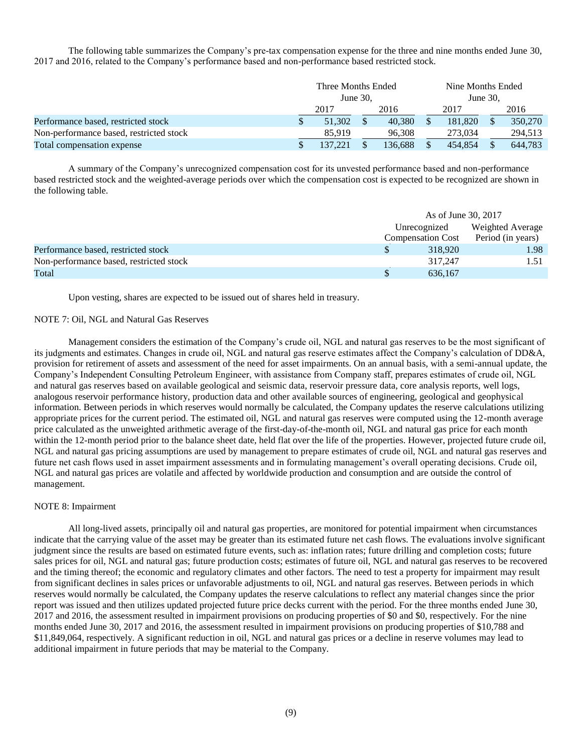The following table summarizes the Company's pre-tax compensation expense for the three and nine months ended June 30, 2017 and 2016, related to the Company's performance based and non-performance based restricted stock.

|                                         | Three Months Ended |  |         | Nine Months Ended |             |  |         |
|-----------------------------------------|--------------------|--|---------|-------------------|-------------|--|---------|
|                                         | June $30$ .        |  |         |                   | June $30$ . |  |         |
|                                         | 2017<br>2016       |  |         | 2017              | 2016        |  |         |
| Performance based, restricted stock     | 51.302             |  | 40.380  |                   | 181.820     |  | 350,270 |
| Non-performance based, restricted stock | 85.919             |  | 96.308  |                   | 273.034     |  | 294.513 |
| Total compensation expense              | 137.221            |  | 136.688 |                   | 454.854     |  | 644.783 |

A summary of the Company's unrecognized compensation cost for its unvested performance based and non-performance based restricted stock and the weighted-average periods over which the compensation cost is expected to be recognized are shown in the following table.

|                                         | As of June 30, 2017      |                         |
|-----------------------------------------|--------------------------|-------------------------|
|                                         | Unrecognized             | <b>Weighted Average</b> |
|                                         | <b>Compensation Cost</b> | Period (in years)       |
| Performance based, restricted stock     | 318,920                  | 1.98                    |
| Non-performance based, restricted stock | 317.247                  | 1.51                    |
| Total                                   | 636,167                  |                         |

Upon vesting, shares are expected to be issued out of shares held in treasury.

## NOTE 7: Oil, NGL and Natural Gas Reserves

Management considers the estimation of the Company's crude oil, NGL and natural gas reserves to be the most significant of its judgments and estimates. Changes in crude oil, NGL and natural gas reserve estimates affect the Company's calculation of DD&A, provision for retirement of assets and assessment of the need for asset impairments. On an annual basis, with a semi-annual update, the Company's Independent Consulting Petroleum Engineer, with assistance from Company staff, prepares estimates of crude oil, NGL and natural gas reserves based on available geological and seismic data, reservoir pressure data, core analysis reports, well logs, analogous reservoir performance history, production data and other available sources of engineering, geological and geophysical information. Between periods in which reserves would normally be calculated, the Company updates the reserve calculations utilizing appropriate prices for the current period. The estimated oil, NGL and natural gas reserves were computed using the 12-month average price calculated as the unweighted arithmetic average of the first-day-of-the-month oil, NGL and natural gas price for each month within the 12-month period prior to the balance sheet date, held flat over the life of the properties. However, projected future crude oil, NGL and natural gas pricing assumptions are used by management to prepare estimates of crude oil, NGL and natural gas reserves and future net cash flows used in asset impairment assessments and in formulating management's overall operating decisions. Crude oil, NGL and natural gas prices are volatile and affected by worldwide production and consumption and are outside the control of management.

#### NOTE 8: Impairment

All long-lived assets, principally oil and natural gas properties, are monitored for potential impairment when circumstances indicate that the carrying value of the asset may be greater than its estimated future net cash flows. The evaluations involve significant judgment since the results are based on estimated future events, such as: inflation rates; future drilling and completion costs; future sales prices for oil, NGL and natural gas; future production costs; estimates of future oil, NGL and natural gas reserves to be recovered and the timing thereof; the economic and regulatory climates and other factors. The need to test a property for impairment may result from significant declines in sales prices or unfavorable adjustments to oil, NGL and natural gas reserves. Between periods in which reserves would normally be calculated, the Company updates the reserve calculations to reflect any material changes since the prior report was issued and then utilizes updated projected future price decks current with the period. For the three months ended June 30, 2017 and 2016, the assessment resulted in impairment provisions on producing properties of \$0 and \$0, respectively. For the nine months ended June 30, 2017 and 2016, the assessment resulted in impairment provisions on producing properties of \$10,788 and \$11,849,064, respectively. A significant reduction in oil, NGL and natural gas prices or a decline in reserve volumes may lead to additional impairment in future periods that may be material to the Company.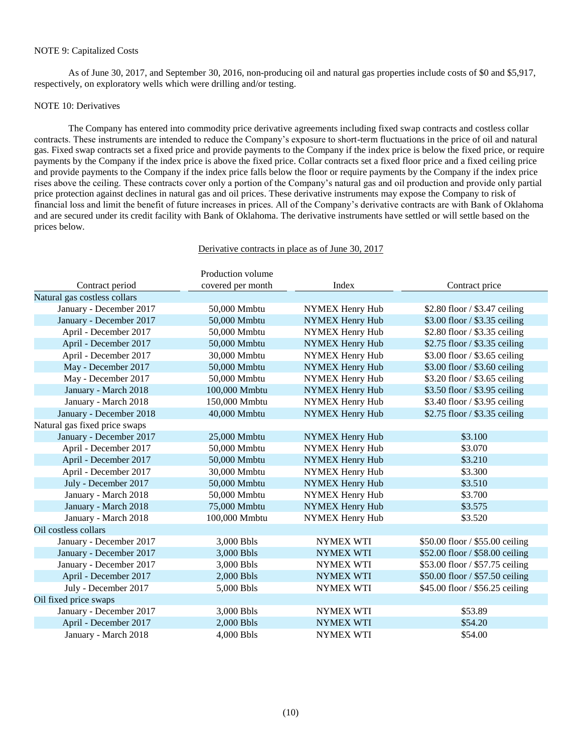### NOTE 9: Capitalized Costs

As of June 30, 2017, and September 30, 2016, non-producing oil and natural gas properties include costs of \$0 and \$5,917, respectively, on exploratory wells which were drilling and/or testing.

### NOTE 10: Derivatives

The Company has entered into commodity price derivative agreements including fixed swap contracts and costless collar contracts. These instruments are intended to reduce the Company's exposure to short-term fluctuations in the price of oil and natural gas. Fixed swap contracts set a fixed price and provide payments to the Company if the index price is below the fixed price, or require payments by the Company if the index price is above the fixed price. Collar contracts set a fixed floor price and a fixed ceiling price and provide payments to the Company if the index price falls below the floor or require payments by the Company if the index price rises above the ceiling. These contracts cover only a portion of the Company's natural gas and oil production and provide only partial price protection against declines in natural gas and oil prices. These derivative instruments may expose the Company to risk of financial loss and limit the benefit of future increases in prices. All of the Company's derivative contracts are with Bank of Oklahoma and are secured under its credit facility with Bank of Oklahoma. The derivative instruments have settled or will settle based on the prices below.

Derivative contracts in place as of June 30, 2017

|                               | Production volume |                        |                                 |
|-------------------------------|-------------------|------------------------|---------------------------------|
| Contract period               | covered per month | Index                  | Contract price                  |
| Natural gas costless collars  |                   |                        |                                 |
| January - December 2017       | 50,000 Mmbtu      | NYMEX Henry Hub        | \$2.80 floor / \$3.47 ceiling   |
| January - December 2017       | 50,000 Mmbtu      | <b>NYMEX Henry Hub</b> | \$3.00 floor / \$3.35 ceiling   |
| April - December 2017         | 50,000 Mmbtu      | NYMEX Henry Hub        | \$2.80 floor / \$3.35 ceiling   |
| April - December 2017         | 50,000 Mmbtu      | <b>NYMEX Henry Hub</b> | \$2.75 floor / \$3.35 ceiling   |
| April - December 2017         | 30,000 Mmbtu      | <b>NYMEX Henry Hub</b> | \$3.00 floor / \$3.65 ceiling   |
| May - December 2017           | 50,000 Mmbtu      | <b>NYMEX Henry Hub</b> | \$3.00 floor / \$3.60 ceiling   |
| May - December 2017           | 50,000 Mmbtu      | NYMEX Henry Hub        | \$3.20 floor / \$3.65 ceiling   |
| January - March 2018          | 100,000 Mmbtu     | <b>NYMEX Henry Hub</b> | \$3.50 floor / \$3.95 ceiling   |
| January - March 2018          | 150,000 Mmbtu     | NYMEX Henry Hub        | \$3.40 floor / \$3.95 ceiling   |
| January - December 2018       | 40,000 Mmbtu      | <b>NYMEX Henry Hub</b> | \$2.75 floor / \$3.35 ceiling   |
| Natural gas fixed price swaps |                   |                        |                                 |
| January - December 2017       | 25,000 Mmbtu      | <b>NYMEX Henry Hub</b> | \$3.100                         |
| April - December 2017         | 50,000 Mmbtu      | NYMEX Henry Hub        | \$3.070                         |
| April - December 2017         | 50,000 Mmbtu      | <b>NYMEX Henry Hub</b> | \$3.210                         |
| April - December 2017         | 30,000 Mmbtu      | NYMEX Henry Hub        | \$3.300                         |
| July - December 2017          | 50,000 Mmbtu      | <b>NYMEX Henry Hub</b> | \$3.510                         |
| January - March 2018          | 50,000 Mmbtu      | <b>NYMEX Henry Hub</b> | \$3.700                         |
| January - March 2018          | 75,000 Mmbtu      | <b>NYMEX Henry Hub</b> | \$3.575                         |
| January - March 2018          | 100,000 Mmbtu     | NYMEX Henry Hub        | \$3.520                         |
| Oil costless collars          |                   |                        |                                 |
| January - December 2017       | 3,000 Bbls        | <b>NYMEX WTI</b>       | \$50.00 floor / \$55.00 ceiling |
| January - December 2017       | 3,000 Bbls        | <b>NYMEX WTI</b>       | \$52.00 floor / \$58.00 ceiling |
| January - December 2017       | 3,000 Bbls        | <b>NYMEX WTI</b>       | \$53.00 floor / \$57.75 ceiling |
| April - December 2017         | 2,000 Bbls        | <b>NYMEX WTI</b>       | \$50.00 floor / \$57.50 ceiling |
| July - December 2017          | 5,000 Bbls        | <b>NYMEX WTI</b>       | \$45.00 floor / \$56.25 ceiling |
| Oil fixed price swaps         |                   |                        |                                 |
| January - December 2017       | 3,000 Bbls        | <b>NYMEX WTI</b>       | \$53.89                         |
| April - December 2017         | 2,000 Bbls        | <b>NYMEX WTI</b>       | \$54.20                         |
| January - March 2018          | 4.000 Bbls        | <b>NYMEX WTI</b>       | \$54.00                         |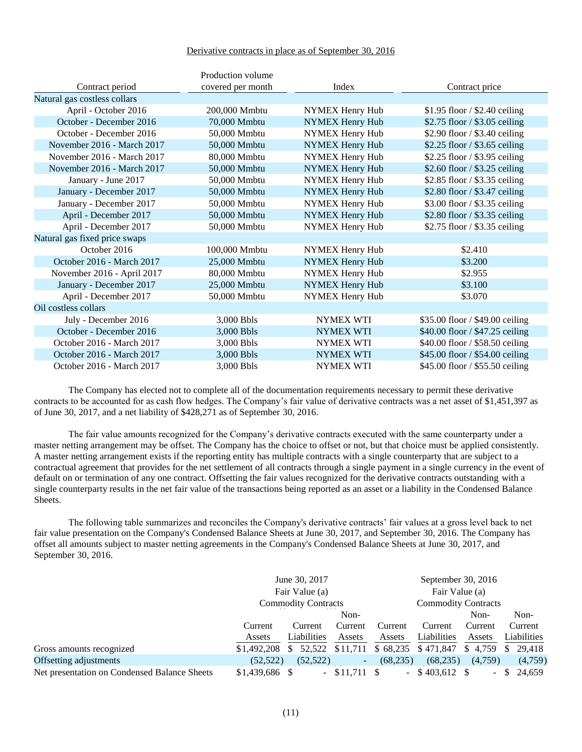## Derivative contracts in place as of September 30, 2016

|                               | Production volume |                        |                                 |
|-------------------------------|-------------------|------------------------|---------------------------------|
| Contract period               | covered per month | Index                  | Contract price                  |
| Natural gas costless collars  |                   |                        |                                 |
| April - October 2016          | 200,000 Mmbtu     | NYMEX Henry Hub        | $$1.95$ floor / \$2.40 ceiling  |
| October - December 2016       | 70,000 Mmbtu      | <b>NYMEX Henry Hub</b> | \$2.75 floor / \$3.05 ceiling   |
| October - December 2016       | 50,000 Mmbtu      | NYMEX Henry Hub        | \$2.90 floor $/$ \$3.40 ceiling |
| November 2016 - March 2017    | 50,000 Mmbtu      | <b>NYMEX Henry Hub</b> | \$2.25 floor / \$3.65 ceiling   |
| November 2016 - March 2017    | 80,000 Mmbtu      | NYMEX Henry Hub        | \$2.25 floor $/$ \$3.95 ceiling |
| November 2016 - March 2017    | 50,000 Mmbtu      | <b>NYMEX Henry Hub</b> | \$2.60 floor / \$3.25 ceiling   |
| January - June 2017           | 50,000 Mmbtu      | NYMEX Henry Hub        | \$2.85 floor / \$3.35 ceiling   |
| January - December 2017       | 50,000 Mmbtu      | NYMEX Henry Hub        | \$2.80 floor / \$3.47 ceiling   |
| January - December 2017       | 50,000 Mmbtu      | NYMEX Henry Hub        | $$3.00$ floor / \$3.35 ceiling  |
| April - December 2017         | 50,000 Mmbtu      | NYMEX Henry Hub        | \$2.80 floor / \$3.35 ceiling   |
| April - December 2017         | 50,000 Mmbtu      | NYMEX Henry Hub        | \$2.75 floor $/$ \$3.35 ceiling |
| Natural gas fixed price swaps |                   |                        |                                 |
| October 2016                  | 100,000 Mmbtu     | NYMEX Henry Hub        | \$2.410                         |
| October 2016 - March 2017     | 25,000 Mmbtu      | <b>NYMEX Henry Hub</b> | \$3.200                         |
| November 2016 - April 2017    | 80,000 Mmbtu      | NYMEX Henry Hub        | \$2.955                         |
| January - December 2017       | 25,000 Mmbtu      | NYMEX Henry Hub        | \$3.100                         |
| April - December 2017         | 50,000 Mmbtu      | NYMEX Henry Hub        | \$3.070                         |
| Oil costless collars          |                   |                        |                                 |
| July - December 2016          | 3,000 Bbls        | <b>NYMEX WTI</b>       | \$35.00 floor / \$49.00 ceiling |
| October - December 2016       | 3,000 Bbls        | <b>NYMEX WTI</b>       | \$40.00 floor / \$47.25 ceiling |
| October 2016 - March 2017     | 3,000 Bbls        | <b>NYMEX WTI</b>       | \$40.00 floor / \$58.50 ceiling |
| October 2016 - March 2017     | 3,000 Bbls        | <b>NYMEX WTI</b>       | \$45.00 floor / \$54.00 ceiling |
| October 2016 - March 2017     | 3,000 Bbls        | <b>NYMEX WTI</b>       | \$45.00 floor / \$55.50 ceiling |

The Company has elected not to complete all of the documentation requirements necessary to permit these derivative contracts to be accounted for as cash flow hedges. The Company's fair value of derivative contracts was a net asset of \$1,451,397 as of June 30, 2017, and a net liability of \$428,271 as of September 30, 2016.

The fair value amounts recognized for the Company's derivative contracts executed with the same counterparty under a master netting arrangement may be offset. The Company has the choice to offset or not, but that choice must be applied consistently. A master netting arrangement exists if the reporting entity has multiple contracts with a single counterparty that are subject to a contractual agreement that provides for the net settlement of all contracts through a single payment in a single currency in the event of default on or termination of any one contract. Offsetting the fair values recognized for the derivative contracts outstanding with a single counterparty results in the net fair value of the transactions being reported as an asset or a liability in the Condensed Balance **Sheets**.

The following table summarizes and reconciles the Company's derivative contracts' fair values at a gross level back to net fair value presentation on the Company's Condensed Balance Sheets at June 30, 2017, and September 30, 2016. The Company has offset all amounts subject to master netting agreements in the Company's Condensed Balance Sheets at June 30, 2017, and September 30, 2016.

|                                              |                            | June 30, 2017 |                 |           | September 30, 2016         |                          |                        |
|----------------------------------------------|----------------------------|---------------|-----------------|-----------|----------------------------|--------------------------|------------------------|
|                                              | Fair Value (a)             |               |                 |           |                            |                          |                        |
|                                              | <b>Commodity Contracts</b> |               |                 |           | <b>Commodity Contracts</b> |                          |                        |
|                                              |                            |               | Non-            |           |                            | Non-                     | Non-                   |
|                                              | Current                    | Current       | Current         | Current   | Current                    | Current                  | Current                |
|                                              | Assets                     | Liabilities   | Assets          | Assets    | Liabilities                | Assets                   | Liabilities            |
| Gross amounts recognized                     | \$1,492,208                | 52.522<br>S   | \$11,711        | \$68,235  | \$471,847                  | $$4,759$ \, $$$          | 29.418                 |
| Offsetting adjustments                       | (52, 522)                  | (52, 522)     | -               | (68, 235) | (68, 235)                  | (4,759)                  | (4,759)                |
| Net presentation on Condensed Balance Sheets | \$1.439,686                |               | $-$ \$11,711 \$ |           | $-$ \$ 403,612             | $\overline{\phantom{0}}$ | 24.659<br><sup>S</sup> |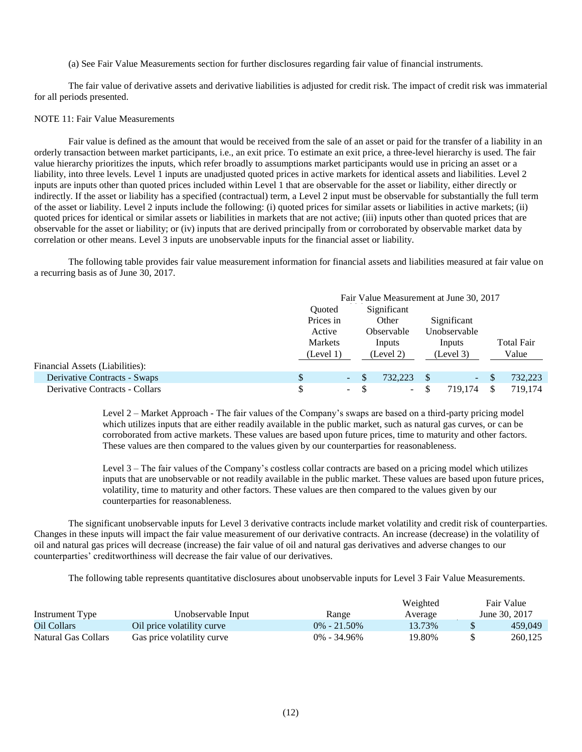(a) See Fair Value Measurements section for further disclosures regarding fair value of financial instruments.

The fair value of derivative assets and derivative liabilities is adjusted for credit risk. The impact of credit risk was immaterial for all periods presented.

## NOTE 11: Fair Value Measurements

Fair value is defined as the amount that would be received from the sale of an asset or paid for the transfer of a liability in an orderly transaction between market participants, i.e., an exit price. To estimate an exit price, a three-level hierarchy is used. The fair value hierarchy prioritizes the inputs, which refer broadly to assumptions market participants would use in pricing an asset or a liability, into three levels. Level 1 inputs are unadjusted quoted prices in active markets for identical assets and liabilities. Level 2 inputs are inputs other than quoted prices included within Level 1 that are observable for the asset or liability, either directly or indirectly. If the asset or liability has a specified (contractual) term, a Level 2 input must be observable for substantially the full term of the asset or liability. Level 2 inputs include the following: (i) quoted prices for similar assets or liabilities in active markets; (ii) quoted prices for identical or similar assets or liabilities in markets that are not active; (iii) inputs other than quoted prices that are observable for the asset or liability; or (iv) inputs that are derived principally from or corroborated by observable market data by correlation or other means. Level 3 inputs are unobservable inputs for the financial asset or liability.

The following table provides fair value measurement information for financial assets and liabilities measured at fair value on a recurring basis as of June 30, 2017.

|                                 | Fair Value Measurement at June 30, 2017 |                     |              |             |           |                     |                   |         |  |  |
|---------------------------------|-----------------------------------------|---------------------|--------------|-------------|-----------|---------------------|-------------------|---------|--|--|
|                                 | <b>Ouoted</b>                           |                     |              | Significant |           |                     |                   |         |  |  |
|                                 | Prices in<br>Active                     |                     | Other        |             |           |                     | Significant       |         |  |  |
|                                 |                                         |                     |              | Observable  |           | Unobservable        |                   |         |  |  |
|                                 | Markets                                 |                     | Inputs       |             | Inputs    |                     | <b>Total Fair</b> |         |  |  |
|                                 | (Level 1)                               |                     | (Level 2)    |             | (Level 3) |                     |                   | Value   |  |  |
| Financial Assets (Liabilities): |                                         |                     |              |             |           |                     |                   |         |  |  |
| Derivative Contracts - Swaps    | \$                                      | $\omega_{\rm{eff}}$ | $\mathbb{S}$ | 732,223     | <b>S</b>  | $\omega_{\rm{eff}}$ | $\mathbf{s}$      | 732,223 |  |  |
| Derivative Contracts - Collars  | \$                                      | $\sim$ $^{-1}$      | -S           | $\sim$      |           | 719.174             |                   | 719,174 |  |  |

Level 2 – Market Approach - The fair values of the Company's swaps are based on a third-party pricing model which utilizes inputs that are either readily available in the public market, such as natural gas curves, or can be corroborated from active markets. These values are based upon future prices, time to maturity and other factors. These values are then compared to the values given by our counterparties for reasonableness.

Level 3 – The fair values of the Company's costless collar contracts are based on a pricing model which utilizes inputs that are unobservable or not readily available in the public market. These values are based upon future prices, volatility, time to maturity and other factors. These values are then compared to the values given by our counterparties for reasonableness.

The significant unobservable inputs for Level 3 derivative contracts include market volatility and credit risk of counterparties. Changes in these inputs will impact the fair value measurement of our derivative contracts. An increase (decrease) in the volatility of oil and natural gas prices will decrease (increase) the fair value of oil and natural gas derivatives and adverse changes to our counterparties' creditworthiness will decrease the fair value of our derivatives.

The following table represents quantitative disclosures about unobservable inputs for Level 3 Fair Value Measurements.

| Instrument Type     | Unobservable Input         | Range           | Weighted<br>Average | Fair Value<br>June 30, 2017 |
|---------------------|----------------------------|-----------------|---------------------|-----------------------------|
| Oil Collars         | Oil price volatility curve | $0\% - 21.50\%$ | 13.73%              | 459,049                     |
| Natural Gas Collars | Gas price volatility curve | $0\% - 34.96\%$ | 19.80%              | 260,125                     |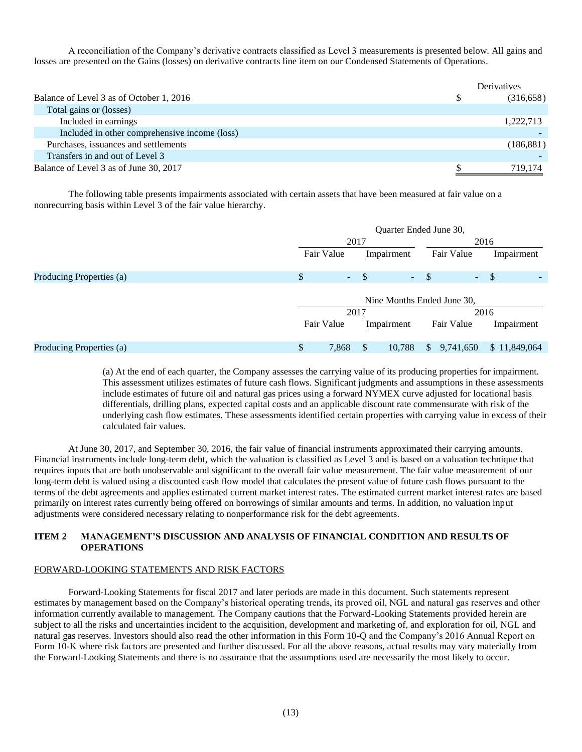A reconciliation of the Company's derivative contracts classified as Level 3 measurements is presented below. All gains and losses are presented on the Gains (losses) on derivative contracts line item on our Condensed Statements of Operations.

|                                               |    | Derivatives |
|-----------------------------------------------|----|-------------|
| Balance of Level 3 as of October 1, 2016      | J. | (316, 658)  |
| Total gains or (losses)                       |    |             |
| Included in earnings                          |    | 1,222,713   |
| Included in other comprehensive income (loss) |    |             |
| Purchases, issuances and settlements          |    | (186, 881)  |
| Transfers in and out of Level 3               |    |             |
| Balance of Level 3 as of June 30, 2017        |    | 719.174     |

The following table presents impairments associated with certain assets that have been measured at fair value on a nonrecurring basis within Level 3 of the fair value hierarchy.

|                          | Quarter Ended June 30, |            |               |                            |      |                     |              |  |  |
|--------------------------|------------------------|------------|---------------|----------------------------|------|---------------------|--------------|--|--|
|                          |                        | 2017       |               |                            | 2016 |                     |              |  |  |
|                          |                        | Fair Value |               | Impairment                 |      | Fair Value          | Impairment   |  |  |
| Producing Properties (a) | \$                     |            | $\mathcal{S}$ | $\blacksquare$             | - \$ | $\omega_{\rm{max}}$ | -\$          |  |  |
|                          |                        |            |               | Nine Months Ended June 30, |      |                     |              |  |  |
|                          | 2017                   |            |               |                            |      | 2016                |              |  |  |
|                          |                        | Fair Value |               | Impairment                 |      | Fair Value          | Impairment   |  |  |
| Producing Properties (a) | \$                     | 7,868      | <sup>\$</sup> | 10,788                     | S.   | 9,741,650           | \$11,849,064 |  |  |

<span id="page-15-0"></span>(a) At the end of each quarter, the Company assesses the carrying value of its producing properties for impairment. This assessment utilizes estimates of future cash flows. Significant judgments and assumptions in these assessments include estimates of future oil and natural gas prices using a forward NYMEX curve adjusted for locational basis differentials, drilling plans, expected capital costs and an applicable discount rate commensurate with risk of the underlying cash flow estimates. These assessments identified certain properties with carrying value in excess of their calculated fair values.

At June 30, 2017, and September 30, 2016, the fair value of financial instruments approximated their carrying amounts. Financial instruments include long-term debt, which the valuation is classified as Level 3 and is based on a valuation technique that requires inputs that are both unobservable and significant to the overall fair value measurement. The fair value measurement of our long-term debt is valued using a discounted cash flow model that calculates the present value of future cash flows pursuant to the terms of the debt agreements and applies estimated current market interest rates. The estimated current market interest rates are based primarily on interest rates currently being offered on borrowings of similar amounts and terms. In addition, no valuation input adjustments were considered necessary relating to nonperformance risk for the debt agreements.

## **ITEM 2 MANAGEMENT'S DISCUSSION AND ANALYSIS OF FINANCIAL CONDITION AND RESULTS OF OPERATIONS**

## FORWARD-LOOKING STATEMENTS AND RISK FACTORS

Forward-Looking Statements for fiscal 2017 and later periods are made in this document. Such statements represent estimates by management based on the Company's historical operating trends, its proved oil, NGL and natural gas reserves and other information currently available to management. The Company cautions that the Forward-Looking Statements provided herein are subject to all the risks and uncertainties incident to the acquisition, development and marketing of, and exploration for oil, NGL and natural gas reserves. Investors should also read the other information in this Form 10-Q and the Company's 2016 Annual Report on Form 10-K where risk factors are presented and further discussed. For all the above reasons, actual results may vary materially from the Forward-Looking Statements and there is no assurance that the assumptions used are necessarily the most likely to occur.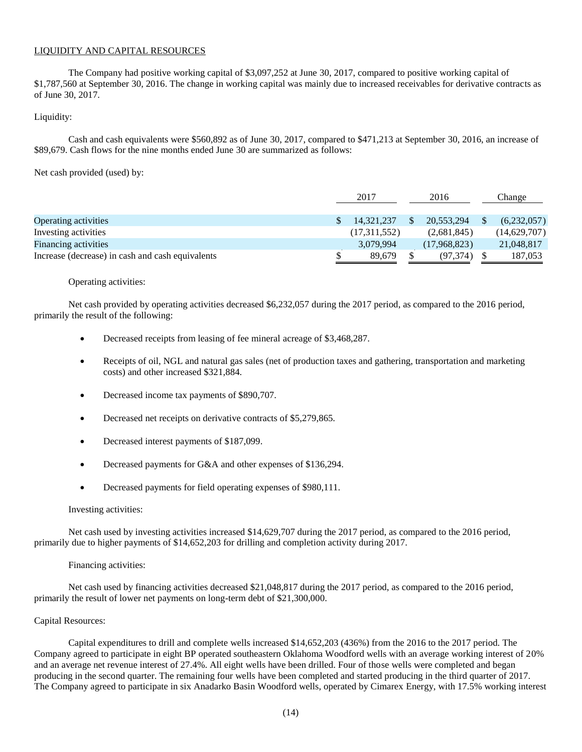## LIQUIDITY AND CAPITAL RESOURCES

The Company had positive working capital of \$3,097,252 at June 30, 2017, compared to positive working capital of \$1,787,560 at September 30, 2016. The change in working capital was mainly due to increased receivables for derivative contracts as of June 30, 2017.

Liquidity:

Cash and cash equivalents were \$560,892 as of June 30, 2017, compared to \$471,213 at September 30, 2016, an increase of \$89,679. Cash flows for the nine months ended June 30 are summarized as follows:

Net cash provided (used) by:

|                                                  | 2017         | 2016         | Change       |
|--------------------------------------------------|--------------|--------------|--------------|
| Operating activities                             | 14.321.237   | 20,553,294   | (6,232,057)  |
| Investing activities                             | (17,311,552) | (2,681,845)  | (14,629,707) |
| <b>Financing activities</b>                      | 3,079,994    | (17,968,823) | 21,048,817   |
| Increase (decrease) in cash and cash equivalents | 89.679       | (97, 374)    | 187,053      |

### Operating activities:

Net cash provided by operating activities decreased \$6,232,057 during the 2017 period, as compared to the 2016 period, primarily the result of the following:

- Decreased receipts from leasing of fee mineral acreage of \$3,468,287.
- Receipts of oil, NGL and natural gas sales (net of production taxes and gathering, transportation and marketing costs) and other increased \$321,884.
- Decreased income tax payments of \$890,707.
- Decreased net receipts on derivative contracts of \$5,279,865.
- Decreased interest payments of \$187,099.
- Decreased payments for G&A and other expenses of \$136,294.
- Decreased payments for field operating expenses of \$980,111.

### Investing activities:

Net cash used by investing activities increased \$14,629,707 during the 2017 period, as compared to the 2016 period, primarily due to higher payments of \$14,652,203 for drilling and completion activity during 2017.

## Financing activities:

Net cash used by financing activities decreased \$21,048,817 during the 2017 period, as compared to the 2016 period, primarily the result of lower net payments on long-term debt of \$21,300,000.

### Capital Resources:

Capital expenditures to drill and complete wells increased \$14,652,203 (436%) from the 2016 to the 2017 period. The Company agreed to participate in eight BP operated southeastern Oklahoma Woodford wells with an average working interest of 20% and an average net revenue interest of 27.4%. All eight wells have been drilled. Four of those wells were completed and began producing in the second quarter. The remaining four wells have been completed and started producing in the third quarter of 2017. The Company agreed to participate in six Anadarko Basin Woodford wells, operated by Cimarex Energy, with 17.5% working interest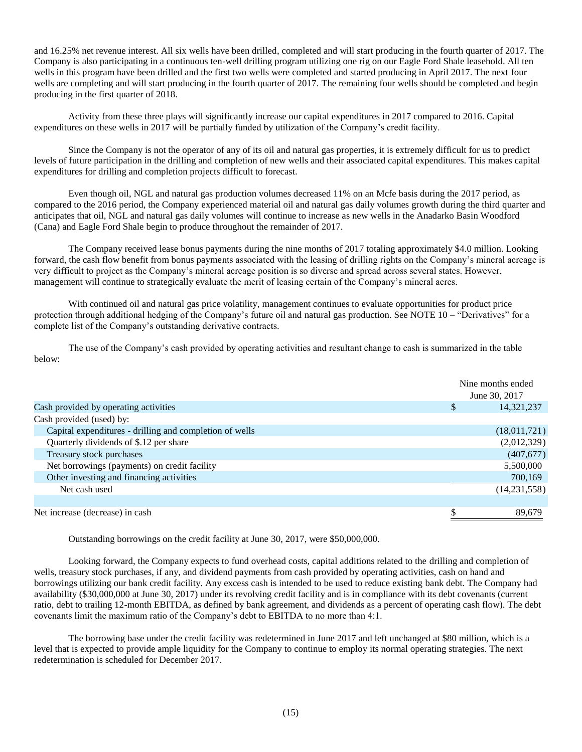and 16.25% net revenue interest. All six wells have been drilled, completed and will start producing in the fourth quarter of 2017. The Company is also participating in a continuous ten-well drilling program utilizing one rig on our Eagle Ford Shale leasehold. All ten wells in this program have been drilled and the first two wells were completed and started producing in April 2017. The next four wells are completing and will start producing in the fourth quarter of 2017. The remaining four wells should be completed and begin producing in the first quarter of 2018.

Activity from these three plays will significantly increase our capital expenditures in 2017 compared to 2016. Capital expenditures on these wells in 2017 will be partially funded by utilization of the Company's credit facility.

Since the Company is not the operator of any of its oil and natural gas properties, it is extremely difficult for us to predict levels of future participation in the drilling and completion of new wells and their associated capital expenditures. This makes capital expenditures for drilling and completion projects difficult to forecast.

Even though oil, NGL and natural gas production volumes decreased 11% on an Mcfe basis during the 2017 period, as compared to the 2016 period, the Company experienced material oil and natural gas daily volumes growth during the third quarter and anticipates that oil, NGL and natural gas daily volumes will continue to increase as new wells in the Anadarko Basin Woodford (Cana) and Eagle Ford Shale begin to produce throughout the remainder of 2017.

The Company received lease bonus payments during the nine months of 2017 totaling approximately \$4.0 million. Looking forward, the cash flow benefit from bonus payments associated with the leasing of drilling rights on the Company's mineral acreage is very difficult to project as the Company's mineral acreage position is so diverse and spread across several states. However, management will continue to strategically evaluate the merit of leasing certain of the Company's mineral acres.

With continued oil and natural gas price volatility, management continues to evaluate opportunities for product price protection through additional hedging of the Company's future oil and natural gas production. See NOTE 10 – "Derivatives" for a complete list of the Company's outstanding derivative contracts.

The use of the Company's cash provided by operating activities and resultant change to cash is summarized in the table below:

|                                                         | Nine months ended |
|---------------------------------------------------------|-------------------|
|                                                         | June 30, 2017     |
| Cash provided by operating activities                   | 14,321,237        |
| Cash provided (used) by:                                |                   |
| Capital expenditures - drilling and completion of wells | (18,011,721)      |
| Quarterly dividends of \$.12 per share                  | (2,012,329)       |
| Treasury stock purchases                                | (407,677)         |
| Net borrowings (payments) on credit facility            | 5,500,000         |
| Other investing and financing activities                | 700,169           |
| Net cash used                                           | (14,231,558)      |
|                                                         |                   |
| Net increase (decrease) in cash                         | 89,679            |

Outstanding borrowings on the credit facility at June 30, 2017, were \$50,000,000.

Looking forward, the Company expects to fund overhead costs, capital additions related to the drilling and completion of wells, treasury stock purchases, if any, and dividend payments from cash provided by operating activities, cash on hand and borrowings utilizing our bank credit facility. Any excess cash is intended to be used to reduce existing bank debt. The Company had availability (\$30,000,000 at June 30, 2017) under its revolving credit facility and is in compliance with its debt covenants (current ratio, debt to trailing 12-month EBITDA, as defined by bank agreement, and dividends as a percent of operating cash flow). The debt covenants limit the maximum ratio of the Company's debt to EBITDA to no more than 4:1.

The borrowing base under the credit facility was redetermined in June 2017 and left unchanged at \$80 million, which is a level that is expected to provide ample liquidity for the Company to continue to employ its normal operating strategies. The next redetermination is scheduled for December 2017.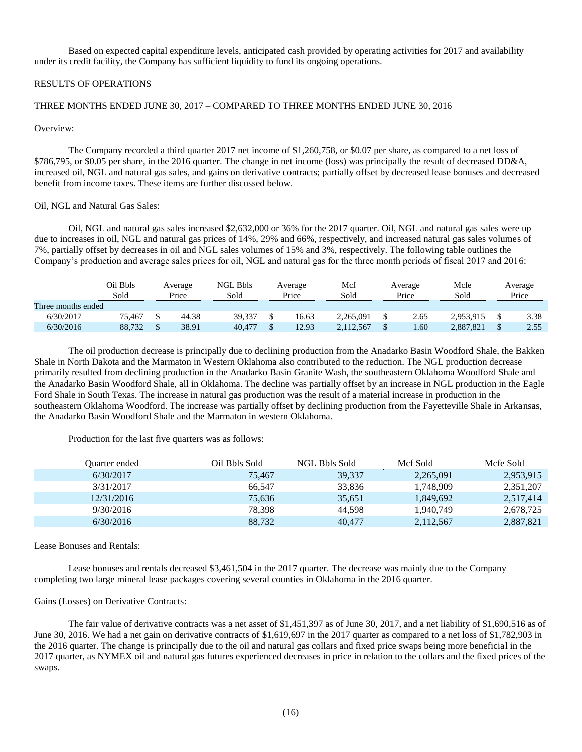Based on expected capital expenditure levels, anticipated cash provided by operating activities for 2017 and availability under its credit facility, the Company has sufficient liquidity to fund its ongoing operations.

## RESULTS OF OPERATIONS

## THREE MONTHS ENDED JUNE 30, 2017 – COMPARED TO THREE MONTHS ENDED JUNE 30, 2016

#### Overview:

The Company recorded a third quarter 2017 net income of \$1,260,758, or \$0.07 per share, as compared to a net loss of \$786,795, or \$0.05 per share, in the 2016 quarter. The change in net income (loss) was principally the result of decreased DD&A, increased oil, NGL and natural gas sales, and gains on derivative contracts; partially offset by decreased lease bonuses and decreased benefit from income taxes. These items are further discussed below.

#### Oil, NGL and Natural Gas Sales:

Oil, NGL and natural gas sales increased \$2,632,000 or 36% for the 2017 quarter. Oil, NGL and natural gas sales were up due to increases in oil, NGL and natural gas prices of 14%, 29% and 66%, respectively, and increased natural gas sales volumes of 7%, partially offset by decreases in oil and NGL sales volumes of 15% and 3%, respectively. The following table outlines the Company's production and average sales prices for oil, NGL and natural gas for the three month periods of fiscal 2017 and 2016:

|                    | Oil Bbls<br>Sold | Average<br>Price | <b>NGL Bbls</b><br>Sold | Average<br>Price | Mcf<br>Sold | Average<br>Price | Mcfe<br>Sold | Average<br>Price |
|--------------------|------------------|------------------|-------------------------|------------------|-------------|------------------|--------------|------------------|
| Three months ended |                  |                  |                         |                  |             |                  |              |                  |
| 6/30/2017          | 75.467           | 44.38            | 39.337                  | 16.63            | 2.265.091   | 2.65             | 2.953.915    | 3.38             |
| 6/30/2016          | 88.732           | 38.91            | 40.477                  | 12.93            | 2,112,567   | 1.60             | 2.887.821    | 2.55             |

The oil production decrease is principally due to declining production from the Anadarko Basin Woodford Shale, the Bakken Shale in North Dakota and the Marmaton in Western Oklahoma also contributed to the reduction. The NGL production decrease primarily resulted from declining production in the Anadarko Basin Granite Wash, the southeastern Oklahoma Woodford Shale and the Anadarko Basin Woodford Shale, all in Oklahoma. The decline was partially offset by an increase in NGL production in the Eagle Ford Shale in South Texas. The increase in natural gas production was the result of a material increase in production in the southeastern Oklahoma Woodford. The increase was partially offset by declining production from the Fayetteville Shale in Arkansas, the Anadarko Basin Woodford Shale and the Marmaton in western Oklahoma.

Production for the last five quarters was as follows:

| Ouarter ended | Oil Bbls Sold- | NGL Bbls Sold | Mcf Sold  | Mcfe Sold |
|---------------|----------------|---------------|-----------|-----------|
| 6/30/2017     | 75.467         | 39,337        | 2,265,091 | 2,953,915 |
| 3/31/2017     | 66.547         | 33,836        | 1.748.909 | 2,351,207 |
| 12/31/2016    | 75.636         | 35,651        | 1.849.692 | 2,517,414 |
| 9/30/2016     | 78,398         | 44.598        | 1,940,749 | 2,678,725 |
| 6/30/2016     | 88,732         | 40.477        | 2,112,567 | 2,887,821 |

Lease Bonuses and Rentals:

Lease bonuses and rentals decreased \$3,461,504 in the 2017 quarter. The decrease was mainly due to the Company completing two large mineral lease packages covering several counties in Oklahoma in the 2016 quarter.

Gains (Losses) on Derivative Contracts:

The fair value of derivative contracts was a net asset of \$1,451,397 as of June 30, 2017, and a net liability of \$1,690,516 as of June 30, 2016. We had a net gain on derivative contracts of \$1,619,697 in the 2017 quarter as compared to a net loss of \$1,782,903 in the 2016 quarter. The change is principally due to the oil and natural gas collars and fixed price swaps being more beneficial in the 2017 quarter, as NYMEX oil and natural gas futures experienced decreases in price in relation to the collars and the fixed prices of the swaps.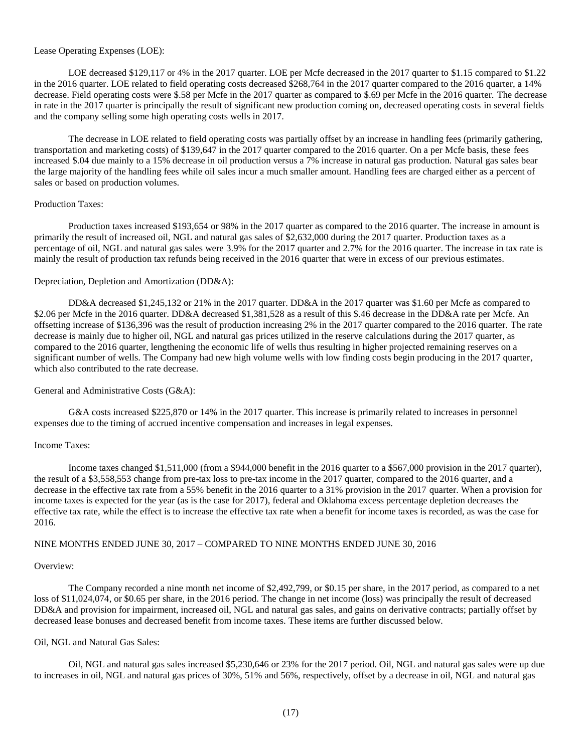#### Lease Operating Expenses (LOE):

LOE decreased \$129,117 or 4% in the 2017 quarter. LOE per Mcfe decreased in the 2017 quarter to \$1.15 compared to \$1.22 in the 2016 quarter. LOE related to field operating costs decreased \$268,764 in the 2017 quarter compared to the 2016 quarter, a 14% decrease. Field operating costs were \$.58 per Mcfe in the 2017 quarter as compared to \$.69 per Mcfe in the 2016 quarter. The decrease in rate in the 2017 quarter is principally the result of significant new production coming on, decreased operating costs in several fields and the company selling some high operating costs wells in 2017.

The decrease in LOE related to field operating costs was partially offset by an increase in handling fees (primarily gathering, transportation and marketing costs) of \$139,647 in the 2017 quarter compared to the 2016 quarter. On a per Mcfe basis, these fees increased \$.04 due mainly to a 15% decrease in oil production versus a 7% increase in natural gas production. Natural gas sales bear the large majority of the handling fees while oil sales incur a much smaller amount. Handling fees are charged either as a percent of sales or based on production volumes.

## Production Taxes:

Production taxes increased \$193,654 or 98% in the 2017 quarter as compared to the 2016 quarter. The increase in amount is primarily the result of increased oil, NGL and natural gas sales of \$2,632,000 during the 2017 quarter. Production taxes as a percentage of oil, NGL and natural gas sales were 3.9% for the 2017 quarter and 2.7% for the 2016 quarter. The increase in tax rate is mainly the result of production tax refunds being received in the 2016 quarter that were in excess of our previous estimates.

## Depreciation, Depletion and Amortization (DD&A):

DD&A decreased \$1,245,132 or 21% in the 2017 quarter. DD&A in the 2017 quarter was \$1.60 per Mcfe as compared to \$2.06 per Mcfe in the 2016 quarter. DD&A decreased \$1,381,528 as a result of this \$.46 decrease in the DD&A rate per Mcfe. An offsetting increase of \$136,396 was the result of production increasing 2% in the 2017 quarter compared to the 2016 quarter. The rate decrease is mainly due to higher oil, NGL and natural gas prices utilized in the reserve calculations during the 2017 quarter, as compared to the 2016 quarter, lengthening the economic life of wells thus resulting in higher projected remaining reserves on a significant number of wells. The Company had new high volume wells with low finding costs begin producing in the 2017 quarter, which also contributed to the rate decrease.

### General and Administrative Costs (G&A):

G&A costs increased \$225,870 or 14% in the 2017 quarter. This increase is primarily related to increases in personnel expenses due to the timing of accrued incentive compensation and increases in legal expenses.

## Income Taxes:

Income taxes changed \$1,511,000 (from a \$944,000 benefit in the 2016 quarter to a \$567,000 provision in the 2017 quarter), the result of a \$3,558,553 change from pre-tax loss to pre-tax income in the 2017 quarter, compared to the 2016 quarter, and a decrease in the effective tax rate from a 55% benefit in the 2016 quarter to a 31% provision in the 2017 quarter. When a provision for income taxes is expected for the year (as is the case for 2017), federal and Oklahoma excess percentage depletion decreases the effective tax rate, while the effect is to increase the effective tax rate when a benefit for income taxes is recorded, as was the case for 2016.

### NINE MONTHS ENDED JUNE 30, 2017 – COMPARED TO NINE MONTHS ENDED JUNE 30, 2016

#### Overview:

The Company recorded a nine month net income of \$2,492,799, or \$0.15 per share, in the 2017 period, as compared to a net loss of \$11,024,074, or \$0.65 per share, in the 2016 period. The change in net income (loss) was principally the result of decreased DD&A and provision for impairment, increased oil, NGL and natural gas sales, and gains on derivative contracts; partially offset by decreased lease bonuses and decreased benefit from income taxes. These items are further discussed below.

#### Oil, NGL and Natural Gas Sales:

Oil, NGL and natural gas sales increased \$5,230,646 or 23% for the 2017 period. Oil, NGL and natural gas sales were up due to increases in oil, NGL and natural gas prices of 30%, 51% and 56%, respectively, offset by a decrease in oil, NGL and natural gas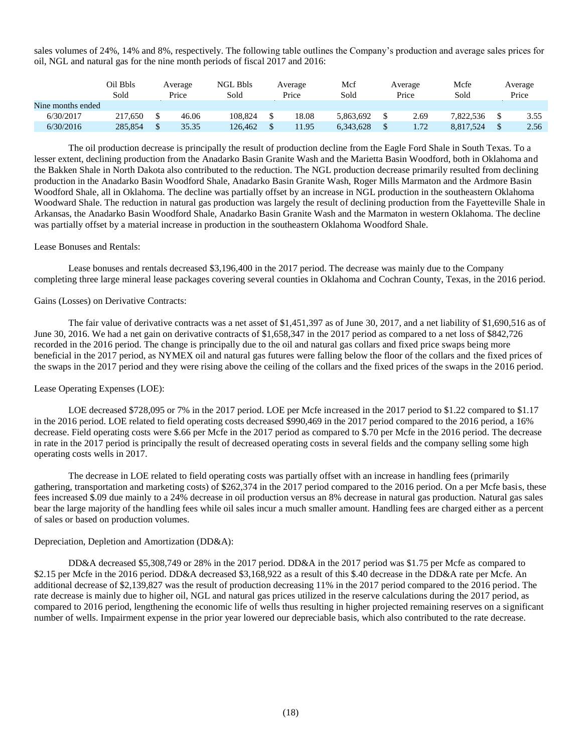sales volumes of 24%, 14% and 8%, respectively. The following table outlines the Company's production and average sales prices for oil, NGL and natural gas for the nine month periods of fiscal 2017 and 2016:

|                   | Oil Bbls<br>Sold | Average<br>Price | <b>NGL Bbls</b><br>Sold | Average<br>Price | Mcf<br>Sold | Average<br>Price | Mcfe<br>Sold | Average<br>Price |
|-------------------|------------------|------------------|-------------------------|------------------|-------------|------------------|--------------|------------------|
| Nine months ended |                  |                  |                         |                  |             |                  |              |                  |
| 6/30/2017         | 217,650          | 46.06            | 108.824                 | 18.08            | 5.863.692   | 2.69             | 7.822.536    | 3.55             |
| 6/30/2016         | 285,854          | 35.35            | 126.462                 | 11.95            | 6.343.628   | 1.72             | 8.817.524    | 2.56             |

The oil production decrease is principally the result of production decline from the Eagle Ford Shale in South Texas. To a lesser extent, declining production from the Anadarko Basin Granite Wash and the Marietta Basin Woodford, both in Oklahoma and the Bakken Shale in North Dakota also contributed to the reduction. The NGL production decrease primarily resulted from declining production in the Anadarko Basin Woodford Shale, Anadarko Basin Granite Wash, Roger Mills Marmaton and the Ardmore Basin Woodford Shale, all in Oklahoma. The decline was partially offset by an increase in NGL production in the southeastern Oklahoma Woodward Shale. The reduction in natural gas production was largely the result of declining production from the Fayetteville Shale in Arkansas, the Anadarko Basin Woodford Shale, Anadarko Basin Granite Wash and the Marmaton in western Oklahoma. The decline was partially offset by a material increase in production in the southeastern Oklahoma Woodford Shale.

### Lease Bonuses and Rentals:

Lease bonuses and rentals decreased \$3,196,400 in the 2017 period. The decrease was mainly due to the Company completing three large mineral lease packages covering several counties in Oklahoma and Cochran County, Texas, in the 2016 period.

## Gains (Losses) on Derivative Contracts:

The fair value of derivative contracts was a net asset of \$1,451,397 as of June 30, 2017, and a net liability of \$1,690,516 as of June 30, 2016. We had a net gain on derivative contracts of \$1,658,347 in the 2017 period as compared to a net loss of \$842,726 recorded in the 2016 period. The change is principally due to the oil and natural gas collars and fixed price swaps being more beneficial in the 2017 period, as NYMEX oil and natural gas futures were falling below the floor of the collars and the fixed prices of the swaps in the 2017 period and they were rising above the ceiling of the collars and the fixed prices of the swaps in the 2016 period.

## Lease Operating Expenses (LOE):

LOE decreased \$728,095 or 7% in the 2017 period. LOE per Mcfe increased in the 2017 period to \$1.22 compared to \$1.17 in the 2016 period. LOE related to field operating costs decreased \$990,469 in the 2017 period compared to the 2016 period, a 16% decrease. Field operating costs were \$.66 per Mcfe in the 2017 period as compared to \$.70 per Mcfe in the 2016 period. The decrease in rate in the 2017 period is principally the result of decreased operating costs in several fields and the company selling some high operating costs wells in 2017.

The decrease in LOE related to field operating costs was partially offset with an increase in handling fees (primarily gathering, transportation and marketing costs) of \$262,374 in the 2017 period compared to the 2016 period. On a per Mcfe basis, these fees increased \$.09 due mainly to a 24% decrease in oil production versus an 8% decrease in natural gas production. Natural gas sales bear the large majority of the handling fees while oil sales incur a much smaller amount. Handling fees are charged either as a percent of sales or based on production volumes.

### Depreciation, Depletion and Amortization (DD&A):

DD&A decreased \$5,308,749 or 28% in the 2017 period. DD&A in the 2017 period was \$1.75 per Mcfe as compared to \$2.15 per Mcfe in the 2016 period. DD&A decreased \$3,168,922 as a result of this \$.40 decrease in the DD&A rate per Mcfe. An additional decrease of \$2,139,827 was the result of production decreasing 11% in the 2017 period compared to the 2016 period*.* The rate decrease is mainly due to higher oil, NGL and natural gas prices utilized in the reserve calculations during the 2017 period, as compared to 2016 period, lengthening the economic life of wells thus resulting in higher projected remaining reserves on a significant number of wells. Impairment expense in the prior year lowered our depreciable basis, which also contributed to the rate decrease.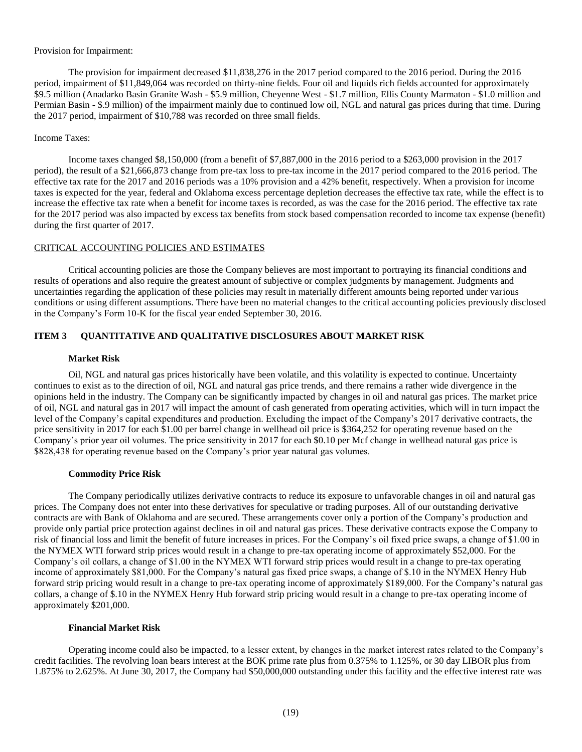#### Provision for Impairment:

The provision for impairment decreased \$11,838,276 in the 2017 period compared to the 2016 period. During the 2016 period, impairment of \$11,849,064 was recorded on thirty-nine fields. Four oil and liquids rich fields accounted for approximately \$9.5 million (Anadarko Basin Granite Wash - \$5.9 million, Cheyenne West - \$1.7 million, Ellis County Marmaton - \$1.0 million and Permian Basin - \$.9 million) of the impairment mainly due to continued low oil, NGL and natural gas prices during that time. During the 2017 period, impairment of \$10,788 was recorded on three small fields.

#### Income Taxes:

Income taxes changed \$8,150,000 (from a benefit of \$7,887,000 in the 2016 period to a \$263,000 provision in the 2017 period), the result of a \$21,666,873 change from pre-tax loss to pre-tax income in the 2017 period compared to the 2016 period. The effective tax rate for the 2017 and 2016 periods was a 10% provision and a 42% benefit, respectively. When a provision for income taxes is expected for the year, federal and Oklahoma excess percentage depletion decreases the effective tax rate, while the effect is to increase the effective tax rate when a benefit for income taxes is recorded, as was the case for the 2016 period. The effective tax rate for the 2017 period was also impacted by excess tax benefits from stock based compensation recorded to income tax expense (benefit) during the first quarter of 2017.

## CRITICAL ACCOUNTING POLICIES AND ESTIMATES

Critical accounting policies are those the Company believes are most important to portraying its financial conditions and results of operations and also require the greatest amount of subjective or complex judgments by management. Judgments and uncertainties regarding the application of these policies may result in materially different amounts being reported under various conditions or using different assumptions. There have been no material changes to the critical accounting policies previously disclosed in the Company's Form 10-K for the fiscal year ended September 30, 2016.

## **ITEM 3 QUANTITATIVE AND QUALITATIVE DISCLOSURES ABOUT MARKET RISK**

#### <span id="page-21-0"></span>**Market Risk**

Oil, NGL and natural gas prices historically have been volatile, and this volatility is expected to continue. Uncertainty continues to exist as to the direction of oil, NGL and natural gas price trends, and there remains a rather wide divergence in the opinions held in the industry. The Company can be significantly impacted by changes in oil and natural gas prices. The market price of oil, NGL and natural gas in 2017 will impact the amount of cash generated from operating activities, which will in turn impact the level of the Company's capital expenditures and production. Excluding the impact of the Company's 2017 derivative contracts, the price sensitivity in 2017 for each \$1.00 per barrel change in wellhead oil price is \$364,252 for operating revenue based on the Company's prior year oil volumes. The price sensitivity in 2017 for each \$0.10 per Mcf change in wellhead natural gas price is \$828,438 for operating revenue based on the Company's prior year natural gas volumes.

#### **Commodity Price Risk**

The Company periodically utilizes derivative contracts to reduce its exposure to unfavorable changes in oil and natural gas prices. The Company does not enter into these derivatives for speculative or trading purposes. All of our outstanding derivative contracts are with Bank of Oklahoma and are secured. These arrangements cover only a portion of the Company's production and provide only partial price protection against declines in oil and natural gas prices. These derivative contracts expose the Company to risk of financial loss and limit the benefit of future increases in prices. For the Company's oil fixed price swaps, a change of \$1.00 in the NYMEX WTI forward strip prices would result in a change to pre-tax operating income of approximately \$52,000. For the Company's oil collars, a change of \$1.00 in the NYMEX WTI forward strip prices would result in a change to pre-tax operating income of approximately \$81,000. For the Company's natural gas fixed price swaps, a change of \$.10 in the NYMEX Henry Hub forward strip pricing would result in a change to pre-tax operating income of approximately \$189,000. For the Company's natural gas collars, a change of \$.10 in the NYMEX Henry Hub forward strip pricing would result in a change to pre-tax operating income of approximately \$201,000.

### **Financial Market Risk**

Operating income could also be impacted, to a lesser extent, by changes in the market interest rates related to the Company's credit facilities. The revolving loan bears interest at the BOK prime rate plus from 0.375% to 1.125%, or 30 day LIBOR plus from 1.875% to 2.625%. At June 30, 2017, the Company had \$50,000,000 outstanding under this facility and the effective interest rate was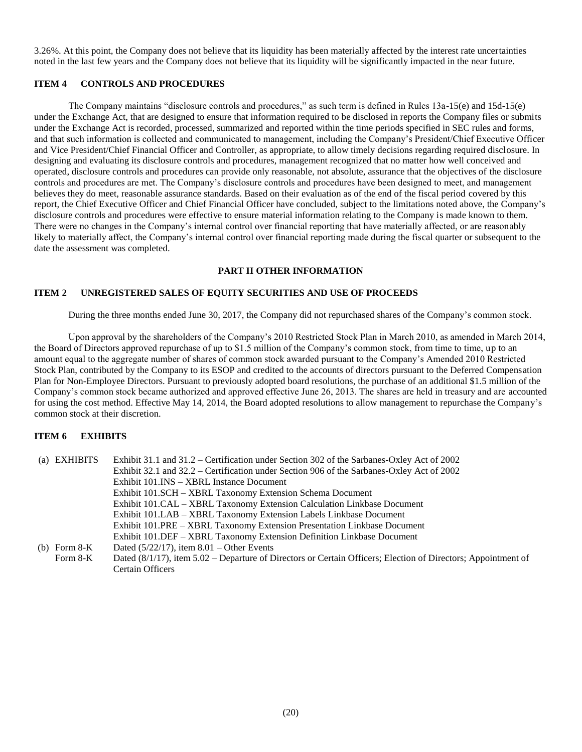3.26%. At this point, the Company does not believe that its liquidity has been materially affected by the interest rate uncertainties noted in the last few years and the Company does not believe that its liquidity will be significantly impacted in the near future.

## <span id="page-22-0"></span>**ITEM 4 CONTROLS AND PROCEDURES**

The Company maintains "disclosure controls and procedures," as such term is defined in Rules 13a-15(e) and 15d-15(e) under the Exchange Act, that are designed to ensure that information required to be disclosed in reports the Company files or submits under the Exchange Act is recorded, processed, summarized and reported within the time periods specified in SEC rules and forms, and that such information is collected and communicated to management, including the Company's President/Chief Executive Officer and Vice President/Chief Financial Officer and Controller, as appropriate, to allow timely decisions regarding required disclosure. In designing and evaluating its disclosure controls and procedures, management recognized that no matter how well conceived and operated, disclosure controls and procedures can provide only reasonable, not absolute, assurance that the objectives of the disclosure controls and procedures are met. The Company's disclosure controls and procedures have been designed to meet, and management believes they do meet, reasonable assurance standards. Based on their evaluation as of the end of the fiscal period covered by this report, the Chief Executive Officer and Chief Financial Officer have concluded, subject to the limitations noted above, the Company's disclosure controls and procedures were effective to ensure material information relating to the Company is made known to them. There were no changes in the Company's internal control over financial reporting that have materially affected, or are reasonably likely to materially affect, the Company's internal control over financial reporting made during the fiscal quarter or subsequent to the date the assessment was completed.

## <span id="page-22-2"></span><span id="page-22-1"></span>**PART II OTHER INFORMATION**

## **ITEM 2 UNREGISTERED SALES OF EQUITY SECURITIES AND USE OF PROCEEDS**

During the three months ended June 30, 2017, the Company did not repurchased shares of the Company's common stock.

Upon approval by the shareholders of the Company's 2010 Restricted Stock Plan in March 2010, as amended in March 2014, the Board of Directors approved repurchase of up to \$1.5 million of the Company's common stock, from time to time, up to an amount equal to the aggregate number of shares of common stock awarded pursuant to the Company's Amended 2010 Restricted Stock Plan, contributed by the Company to its ESOP and credited to the accounts of directors pursuant to the Deferred Compensation Plan for Non-Employee Directors. Pursuant to previously adopted board resolutions, the purchase of an additional \$1.5 million of the Company's common stock became authorized and approved effective June 26, 2013. The shares are held in treasury and are accounted for using the cost method. Effective May 14, 2014, the Board adopted resolutions to allow management to repurchase the Company's common stock at their discretion.

## <span id="page-22-3"></span>**ITEM 6 EXHIBITS**

| (a) EXHIBITS   | Exhibit 31.1 and 31.2 – Certification under Section 302 of the Sarbanes-Oxley Act of 2002                     |
|----------------|---------------------------------------------------------------------------------------------------------------|
|                | Exhibit 32.1 and 32.2 – Certification under Section 906 of the Sarbanes-Oxley Act of 2002                     |
|                | Exhibit 101.INS – XBRL Instance Document                                                                      |
|                | Exhibit 101.SCH – XBRL Taxonomy Extension Schema Document                                                     |
|                | Exhibit 101.CAL - XBRL Taxonomy Extension Calculation Linkbase Document                                       |
|                | Exhibit 101.LAB - XBRL Taxonomy Extension Labels Linkbase Document                                            |
|                | Exhibit 101.PRE - XBRL Taxonomy Extension Presentation Linkbase Document                                      |
|                | Exhibit 101.DEF - XBRL Taxonomy Extension Definition Linkbase Document                                        |
| (b) Form $8-K$ | Dated $(5/22/17)$ , item $8.01$ – Other Events                                                                |
| Form 8-K       | Dated (8/1/17), item 5.02 – Departure of Directors or Certain Officers; Election of Directors; Appointment of |
|                | <b>Certain Officers</b>                                                                                       |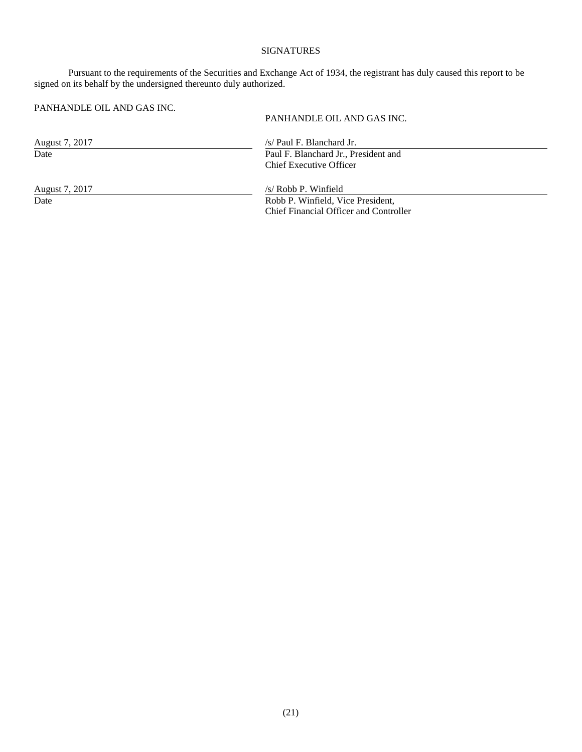## <span id="page-23-0"></span>SIGNATURES

Pursuant to the requirements of the Securities and Exchange Act of 1934, the registrant has duly caused this report to be signed on its behalf by the undersigned thereunto duly authorized.

PANHANDLE OIL AND GAS INC.

PANHANDLE OIL AND GAS INC.

August 7, 2017 /s/ Paul F. Blanchard Jr.<br>Date *Paul F. Blanchard Jr.*, Pr

Paul F. Blanchard Jr., President and Chief Executive Officer

August 7, 2017 /s/ Robb P. Winfield<br>Date /s/ Robb P. Winfield, View Robb P. Winfield, Vice President, Chief Financial Officer and Controller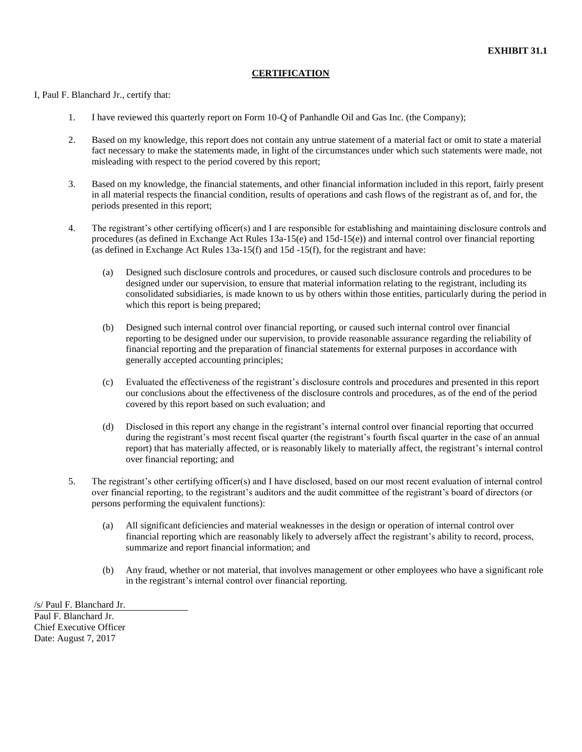## **CERTIFICATION**

I, Paul F. Blanchard Jr., certify that:

- 1. I have reviewed this quarterly report on Form 10-Q of Panhandle Oil and Gas Inc. (the Company);
- 2. Based on my knowledge, this report does not contain any untrue statement of a material fact or omit to state a material fact necessary to make the statements made, in light of the circumstances under which such statements were made, not misleading with respect to the period covered by this report;
- 3. Based on my knowledge, the financial statements, and other financial information included in this report, fairly present in all material respects the financial condition, results of operations and cash flows of the registrant as of, and for, the periods presented in this report;
- 4. The registrant's other certifying officer(s) and I are responsible for establishing and maintaining disclosure controls and procedures (as defined in Exchange Act Rules 13a-15(e) and 15d-15(e)) and internal control over financial reporting (as defined in Exchange Act Rules 13a-15(f) and 15d -15(f), for the registrant and have:
	- (a) Designed such disclosure controls and procedures, or caused such disclosure controls and procedures to be designed under our supervision, to ensure that material information relating to the registrant, including its consolidated subsidiaries, is made known to us by others within those entities, particularly during the period in which this report is being prepared;
	- (b) Designed such internal control over financial reporting, or caused such internal control over financial reporting to be designed under our supervision, to provide reasonable assurance regarding the reliability of financial reporting and the preparation of financial statements for external purposes in accordance with generally accepted accounting principles;
	- (c) Evaluated the effectiveness of the registrant's disclosure controls and procedures and presented in this report our conclusions about the effectiveness of the disclosure controls and procedures, as of the end of the period covered by this report based on such evaluation; and
	- (d) Disclosed in this report any change in the registrant's internal control over financial reporting that occurred during the registrant's most recent fiscal quarter (the registrant's fourth fiscal quarter in the case of an annual report) that has materially affected, or is reasonably likely to materially affect, the registrant's internal control over financial reporting; and
- 5. The registrant's other certifying officer(s) and I have disclosed, based on our most recent evaluation of internal control over financial reporting, to the registrant's auditors and the audit committee of the registrant's board of directors (or persons performing the equivalent functions):
	- (a) All significant deficiencies and material weaknesses in the design or operation of internal control over financial reporting which are reasonably likely to adversely affect the registrant's ability to record, process, summarize and report financial information; and
	- (b) Any fraud, whether or not material, that involves management or other employees who have a significant role in the registrant's internal control over financial reporting.

/s/ Paul F. Blanchard Jr. Paul F. Blanchard Jr. Chief Executive Officer Date: August 7, 2017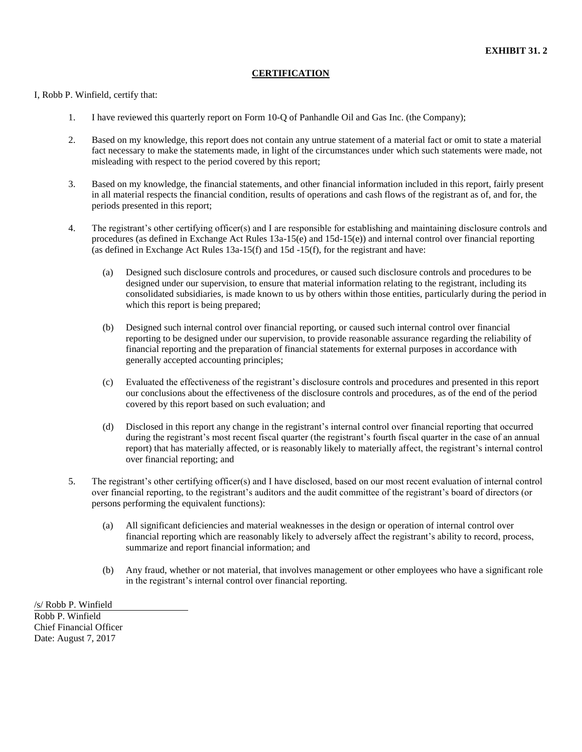## **CERTIFICATION**

### I, Robb P. Winfield, certify that:

- 1. I have reviewed this quarterly report on Form 10-Q of Panhandle Oil and Gas Inc. (the Company);
- 2. Based on my knowledge, this report does not contain any untrue statement of a material fact or omit to state a material fact necessary to make the statements made, in light of the circumstances under which such statements were made, not misleading with respect to the period covered by this report;
- 3. Based on my knowledge, the financial statements, and other financial information included in this report, fairly present in all material respects the financial condition, results of operations and cash flows of the registrant as of, and for, the periods presented in this report;
- 4. The registrant's other certifying officer(s) and I are responsible for establishing and maintaining disclosure controls and procedures (as defined in Exchange Act Rules 13a-15(e) and 15d-15(e)) and internal control over financial reporting (as defined in Exchange Act Rules 13a-15(f) and 15d -15(f), for the registrant and have:
	- (a) Designed such disclosure controls and procedures, or caused such disclosure controls and procedures to be designed under our supervision, to ensure that material information relating to the registrant, including its consolidated subsidiaries, is made known to us by others within those entities, particularly during the period in which this report is being prepared;
	- (b) Designed such internal control over financial reporting, or caused such internal control over financial reporting to be designed under our supervision, to provide reasonable assurance regarding the reliability of financial reporting and the preparation of financial statements for external purposes in accordance with generally accepted accounting principles;
	- (c) Evaluated the effectiveness of the registrant's disclosure controls and procedures and presented in this report our conclusions about the effectiveness of the disclosure controls and procedures, as of the end of the period covered by this report based on such evaluation; and
	- (d) Disclosed in this report any change in the registrant's internal control over financial reporting that occurred during the registrant's most recent fiscal quarter (the registrant's fourth fiscal quarter in the case of an annual report) that has materially affected, or is reasonably likely to materially affect, the registrant's internal control over financial reporting; and
- 5. The registrant's other certifying officer(s) and I have disclosed, based on our most recent evaluation of internal control over financial reporting, to the registrant's auditors and the audit committee of the registrant's board of directors (or persons performing the equivalent functions):
	- (a) All significant deficiencies and material weaknesses in the design or operation of internal control over financial reporting which are reasonably likely to adversely affect the registrant's ability to record, process, summarize and report financial information; and
	- (b) Any fraud, whether or not material, that involves management or other employees who have a significant role in the registrant's internal control over financial reporting.

/s/ Robb P. Winfield Robb P. Winfield Chief Financial Officer Date: August 7, 2017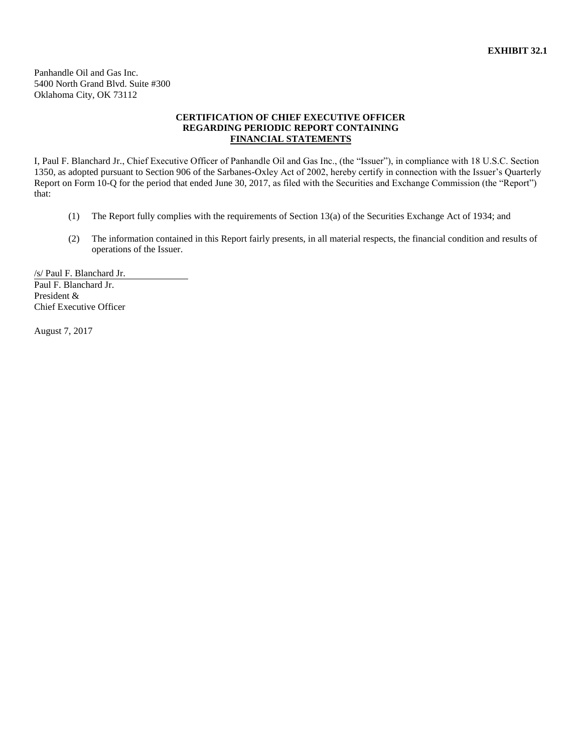Panhandle Oil and Gas Inc. 5400 North Grand Blvd. Suite #300 Oklahoma City, OK 73112

## **CERTIFICATION OF CHIEF EXECUTIVE OFFICER REGARDING PERIODIC REPORT CONTAINING FINANCIAL STATEMENTS**

I, Paul F. Blanchard Jr., Chief Executive Officer of Panhandle Oil and Gas Inc., (the "Issuer"), in compliance with 18 U.S.C. Section 1350, as adopted pursuant to Section 906 of the Sarbanes-Oxley Act of 2002, hereby certify in connection with the Issuer's Quarterly Report on Form 10-Q for the period that ended June 30, 2017, as filed with the Securities and Exchange Commission (the "Report") that:

- (1) The Report fully complies with the requirements of Section 13(a) of the Securities Exchange Act of 1934; and
- (2) The information contained in this Report fairly presents, in all material respects, the financial condition and results of operations of the Issuer.

/s/ Paul F. Blanchard Jr. Paul F. Blanchard Jr. President & Chief Executive Officer

August 7, 2017